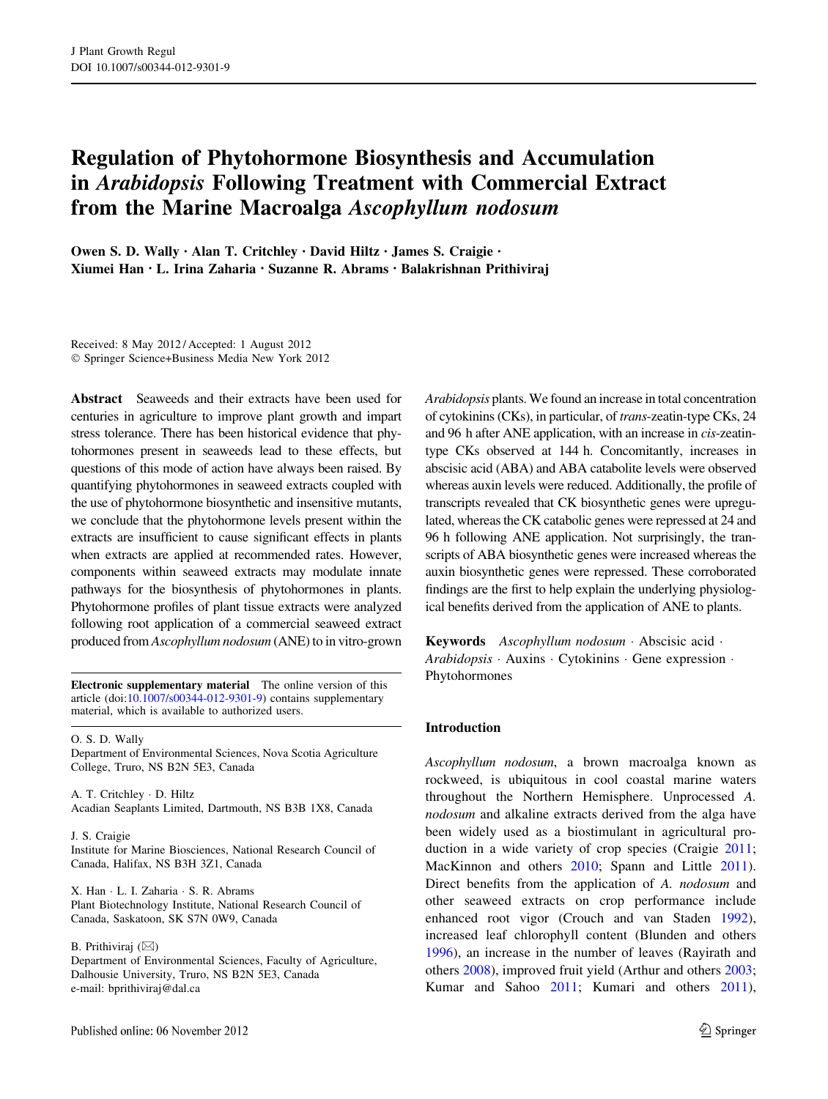# Regulation of Phytohormone Biosynthesis and Accumulation in Arabidopsis Following Treatment with Commercial Extract from the Marine Macroalga Ascophyllum nodosum

Owen S. D. Wally • Alan T. Critchley • David Hiltz • James S. Craigie • Xiumei Han • L. Irina Zaharia • Suzanne R. Abrams • Balakrishnan Prithiviraj

Received: 8 May 2012 / Accepted: 1 August 2012 - Springer Science+Business Media New York 2012

Abstract Seaweeds and their extracts have been used for centuries in agriculture to improve plant growth and impart stress tolerance. There has been historical evidence that phytohormones present in seaweeds lead to these effects, but questions of this mode of action have always been raised. By quantifying phytohormones in seaweed extracts coupled with the use of phytohormone biosynthetic and insensitive mutants, we conclude that the phytohormone levels present within the extracts are insufficient to cause significant effects in plants when extracts are applied at recommended rates. However, components within seaweed extracts may modulate innate pathways for the biosynthesis of phytohormones in plants. Phytohormone profiles of plant tissue extracts were analyzed following root application of a commercial seaweed extract produced from Ascophyllum nodosum (ANE) to in vitro-grown

Electronic supplementary material The online version of this article (doi:[10.1007/s00344-012-9301-9\)](http://dx.doi.org/10.1007/s00344-012-9301-9) contains supplementary material, which is available to authorized users.

O. S. D. Wally

Department of Environmental Sciences, Nova Scotia Agriculture College, Truro, NS B2N 5E3, Canada

A. T. Critchley - D. Hiltz Acadian Seaplants Limited, Dartmouth, NS B3B 1X8, Canada

#### J. S. Craigie

Institute for Marine Biosciences, National Research Council of Canada, Halifax, NS B3H 3Z1, Canada

X. Han - L. I. Zaharia - S. R. Abrams Plant Biotechnology Institute, National Research Council of Canada, Saskatoon, SK S7N 0W9, Canada

B. Prithiviraj  $(\boxtimes)$ 

Department of Environmental Sciences, Faculty of Agriculture, Dalhousie University, Truro, NS B2N 5E3, Canada e-mail: bprithiviraj@dal.ca

Arabidopsis plants. We found an increase in total concentration of cytokinins (CKs), in particular, of trans-zeatin-type CKs, 24 and 96 h after ANE application, with an increase in cis-zeatintype CKs observed at 144 h. Concomitantly, increases in abscisic acid (ABA) and ABA catabolite levels were observed whereas auxin levels were reduced. Additionally, the profile of transcripts revealed that CK biosynthetic genes were upregulated, whereas the CK catabolic genes were repressed at 24 and 96 h following ANE application. Not surprisingly, the transcripts of ABA biosynthetic genes were increased whereas the auxin biosynthetic genes were repressed. These corroborated findings are the first to help explain the underlying physiological benefits derived from the application of ANE to plants.

Keywords Ascophyllum nodosum · Abscisic acid · Arabidopsis · Auxins · Cytokinins · Gene expression · Phytohormones

### Introduction

Ascophyllum nodosum, a brown macroalga known as rockweed, is ubiquitous in cool coastal marine waters throughout the Northern Hemisphere. Unprocessed A. nodosum and alkaline extracts derived from the alga have been widely used as a biostimulant in agricultural production in a wide variety of crop species (Craigie [2011](#page-14-0); MacKinnon and others [2010;](#page-14-0) Spann and Little [2011](#page-15-0)). Direct benefits from the application of A. nodosum and other seaweed extracts on crop performance include enhanced root vigor (Crouch and van Staden [1992](#page-14-0)), increased leaf chlorophyll content (Blunden and others [1996](#page-14-0)), an increase in the number of leaves (Rayirath and others [2008](#page-15-0)), improved fruit yield (Arthur and others [2003](#page-13-0); Kumar and Sahoo [2011;](#page-14-0) Kumari and others [2011](#page-14-0)),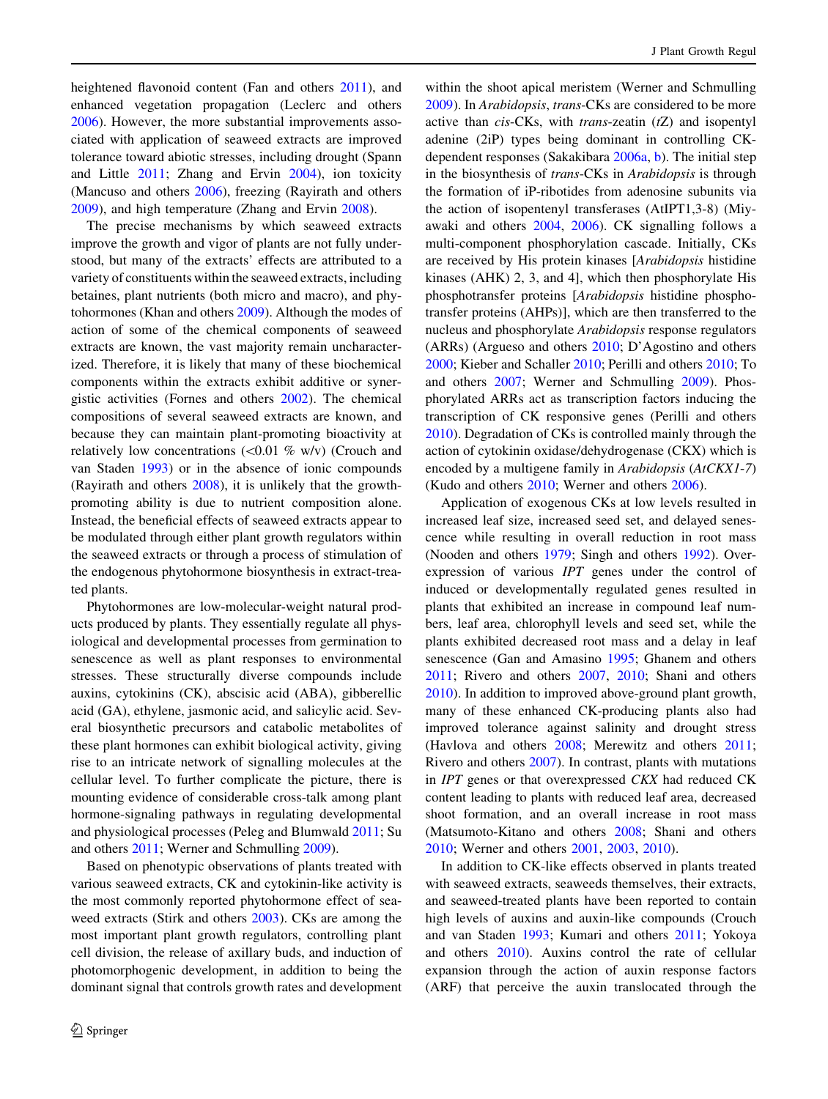heightened flavonoid content (Fan and others [2011\)](#page-14-0), and enhanced vegetation propagation (Leclerc and others [2006\)](#page-14-0). However, the more substantial improvements associated with application of seaweed extracts are improved tolerance toward abiotic stresses, including drought (Spann and Little [2011](#page-15-0); Zhang and Ervin [2004\)](#page-15-0), ion toxicity (Mancuso and others [2006](#page-14-0)), freezing (Rayirath and others [2009\)](#page-15-0), and high temperature (Zhang and Ervin [2008\)](#page-15-0).

The precise mechanisms by which seaweed extracts improve the growth and vigor of plants are not fully understood, but many of the extracts' effects are attributed to a variety of constituents within the seaweed extracts, including betaines, plant nutrients (both micro and macro), and phytohormones (Khan and others [2009](#page-14-0)). Although the modes of action of some of the chemical components of seaweed extracts are known, the vast majority remain uncharacterized. Therefore, it is likely that many of these biochemical components within the extracts exhibit additive or synergistic activities (Fornes and others [2002\)](#page-14-0). The chemical compositions of several seaweed extracts are known, and because they can maintain plant-promoting bioactivity at relatively low concentrations  $(<0.01 \%$  w/v) (Crouch and van Staden [1993](#page-14-0)) or in the absence of ionic compounds (Rayirath and others [2008](#page-15-0)), it is unlikely that the growthpromoting ability is due to nutrient composition alone. Instead, the beneficial effects of seaweed extracts appear to be modulated through either plant growth regulators within the seaweed extracts or through a process of stimulation of the endogenous phytohormone biosynthesis in extract-treated plants.

Phytohormones are low-molecular-weight natural products produced by plants. They essentially regulate all physiological and developmental processes from germination to senescence as well as plant responses to environmental stresses. These structurally diverse compounds include auxins, cytokinins (CK), abscisic acid (ABA), gibberellic acid (GA), ethylene, jasmonic acid, and salicylic acid. Several biosynthetic precursors and catabolic metabolites of these plant hormones can exhibit biological activity, giving rise to an intricate network of signalling molecules at the cellular level. To further complicate the picture, there is mounting evidence of considerable cross-talk among plant hormone-signaling pathways in regulating developmental and physiological processes (Peleg and Blumwald [2011](#page-15-0); Su and others [2011;](#page-15-0) Werner and Schmulling [2009](#page-15-0)).

Based on phenotypic observations of plants treated with various seaweed extracts, CK and cytokinin-like activity is the most commonly reported phytohormone effect of seaweed extracts (Stirk and others [2003](#page-15-0)). CKs are among the most important plant growth regulators, controlling plant cell division, the release of axillary buds, and induction of photomorphogenic development, in addition to being the dominant signal that controls growth rates and development

within the shoot apical meristem (Werner and Schmulling [2009](#page-15-0)). In Arabidopsis, trans-CKs are considered to be more active than  $cis$ -CKs, with *trans*-zeatin  $(tZ)$  and isopentyl adenine (2iP) types being dominant in controlling CKdependent responses (Sakakibara [2006a,](#page-15-0) [b\)](#page-15-0). The initial step in the biosynthesis of trans-CKs in Arabidopsis is through the formation of iP-ribotides from adenosine subunits via the action of isopentenyl transferases (AtIPT1,3-8) (Miyawaki and others [2004,](#page-14-0) [2006](#page-14-0)). CK signalling follows a multi-component phosphorylation cascade. Initially, CKs are received by His protein kinases [Arabidopsis histidine kinases (AHK) 2, 3, and 4], which then phosphorylate His phosphotransfer proteins [Arabidopsis histidine phosphotransfer proteins (AHPs)], which are then transferred to the nucleus and phosphorylate Arabidopsis response regulators (ARRs) (Argueso and others [2010;](#page-13-0) D'Agostino and others [2000](#page-14-0); Kieber and Schaller [2010;](#page-14-0) Perilli and others [2010](#page-15-0); To and others [2007;](#page-15-0) Werner and Schmulling [2009](#page-15-0)). Phosphorylated ARRs act as transcription factors inducing the transcription of CK responsive genes (Perilli and others [2010](#page-15-0)). Degradation of CKs is controlled mainly through the action of cytokinin oxidase/dehydrogenase (CKX) which is encoded by a multigene family in Arabidopsis (AtCKX1-7) (Kudo and others [2010](#page-14-0); Werner and others [2006](#page-15-0)).

Application of exogenous CKs at low levels resulted in increased leaf size, increased seed set, and delayed senescence while resulting in overall reduction in root mass (Nooden and others [1979](#page-14-0); Singh and others [1992](#page-15-0)). Overexpression of various IPT genes under the control of induced or developmentally regulated genes resulted in plants that exhibited an increase in compound leaf numbers, leaf area, chlorophyll levels and seed set, while the plants exhibited decreased root mass and a delay in leaf senescence (Gan and Amasino [1995;](#page-14-0) Ghanem and others [2011](#page-14-0); Rivero and others [2007](#page-15-0), [2010;](#page-15-0) Shani and others [2010](#page-15-0)). In addition to improved above-ground plant growth, many of these enhanced CK-producing plants also had improved tolerance against salinity and drought stress (Havlova and others [2008](#page-14-0); Merewitz and others [2011](#page-14-0); Rivero and others [2007\)](#page-15-0). In contrast, plants with mutations in IPT genes or that overexpressed CKX had reduced CK content leading to plants with reduced leaf area, decreased shoot formation, and an overall increase in root mass (Matsumoto-Kitano and others [2008](#page-14-0); Shani and others [2010](#page-15-0); Werner and others [2001](#page-15-0), [2003,](#page-15-0) [2010\)](#page-15-0).

In addition to CK-like effects observed in plants treated with seaweed extracts, seaweeds themselves, their extracts, and seaweed-treated plants have been reported to contain high levels of auxins and auxin-like compounds (Crouch and van Staden [1993](#page-14-0); Kumari and others [2011](#page-14-0); Yokoya and others [2010\)](#page-15-0). Auxins control the rate of cellular expansion through the action of auxin response factors (ARF) that perceive the auxin translocated through the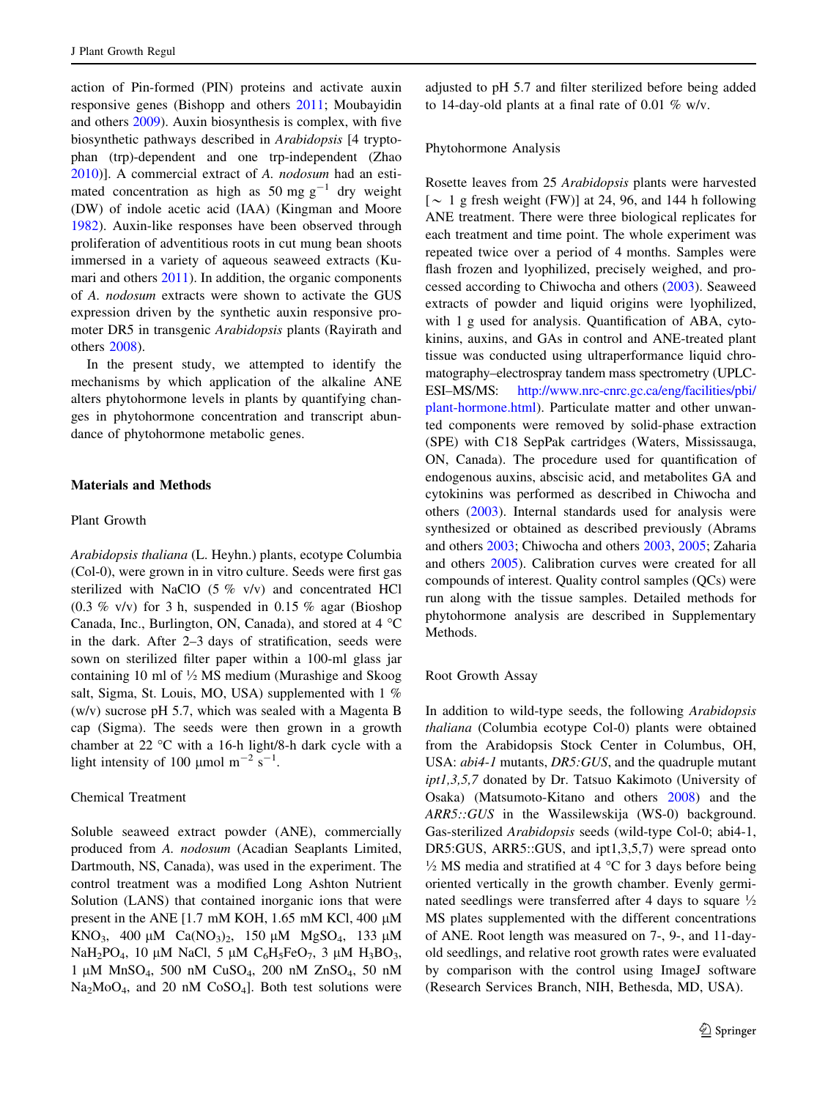action of Pin-formed (PIN) proteins and activate auxin responsive genes (Bishopp and others [2011](#page-14-0); Moubayidin and others [2009\)](#page-14-0). Auxin biosynthesis is complex, with five biosynthetic pathways described in Arabidopsis [4 tryptophan (trp)-dependent and one trp-independent (Zhao [2010\)](#page-15-0)]. A commercial extract of A. nodosum had an estimated concentration as high as 50 mg  $g^{-1}$  dry weight (DW) of indole acetic acid (IAA) (Kingman and Moore [1982\)](#page-14-0). Auxin-like responses have been observed through proliferation of adventitious roots in cut mung bean shoots immersed in a variety of aqueous seaweed extracts (Kumari and others [2011](#page-14-0)). In addition, the organic components of A. nodosum extracts were shown to activate the GUS expression driven by the synthetic auxin responsive promoter DR5 in transgenic Arabidopsis plants (Rayirath and others [2008\)](#page-15-0).

In the present study, we attempted to identify the mechanisms by which application of the alkaline ANE alters phytohormone levels in plants by quantifying changes in phytohormone concentration and transcript abundance of phytohormone metabolic genes.

## Materials and Methods

## Plant Growth

Arabidopsis thaliana (L. Heyhn.) plants, ecotype Columbia (Col-0), were grown in in vitro culture. Seeds were first gas sterilized with NaClO (5 % v/v) and concentrated HCl  $(0.3 \% \text{ v/v})$  for 3 h, suspended in 0.15 % agar (Bioshop Canada, Inc., Burlington, ON, Canada), and stored at  $4^{\circ}$ C in the dark. After 2–3 days of stratification, seeds were sown on sterilized filter paper within a 100-ml glass jar containing 10 ml of  $\frac{1}{2}$  MS medium (Murashige and Skoog salt, Sigma, St. Louis, MO, USA) supplemented with 1 % (w/v) sucrose pH 5.7, which was sealed with a Magenta B cap (Sigma). The seeds were then grown in a growth chamber at  $22^{\circ}$ C with a 16-h light/8-h dark cycle with a light intensity of 100  $\mu$ mol m<sup>-2</sup> s<sup>-1</sup>.

#### Chemical Treatment

Soluble seaweed extract powder (ANE), commercially produced from A. nodosum (Acadian Seaplants Limited, Dartmouth, NS, Canada), was used in the experiment. The control treatment was a modified Long Ashton Nutrient Solution (LANS) that contained inorganic ions that were present in the ANE [1.7 mM KOH, 1.65 mM KCl, 400  $\mu$ M KNO<sub>3</sub>, 400 µM Ca(NO<sub>3</sub>)<sub>2</sub>, 150 µM MgSO<sub>4</sub>, 133 µM NaH<sub>2</sub>PO<sub>4</sub>, 10 µM NaCl, 5 µM C<sub>6</sub>H<sub>5</sub>FeO<sub>7</sub>, 3 µM H<sub>3</sub>BO<sub>3</sub>,  $1 \mu M$  MnSO<sub>4</sub>, 500 nM CuSO<sub>4</sub>, 200 nM ZnSO<sub>4</sub>, 50 nM  $Na<sub>2</sub>MoO<sub>4</sub>$ , and 20 nM CoSO<sub>4</sub>]. Both test solutions were

adjusted to pH 5.7 and filter sterilized before being added to 14-day-old plants at a final rate of 0.01 % w/v.

#### Phytohormone Analysis

Rosette leaves from 25 Arabidopsis plants were harvested  $\sim 1$  g fresh weight (FW)] at 24, 96, and 144 h following ANE treatment. There were three biological replicates for each treatment and time point. The whole experiment was repeated twice over a period of 4 months. Samples were flash frozen and lyophilized, precisely weighed, and processed according to Chiwocha and others ([2003\)](#page-14-0). Seaweed extracts of powder and liquid origins were lyophilized, with 1 g used for analysis. Quantification of ABA, cytokinins, auxins, and GAs in control and ANE-treated plant tissue was conducted using ultraperformance liquid chromatography–electrospray tandem mass spectrometry (UPLC-ESI–MS/MS: [http://www.nrc-cnrc.gc.ca/eng/facilities/pbi/](http://www.nrc-cnrc.gc.ca/eng/facilities/pbi/plant-hormone.html) [plant-hormone.html](http://www.nrc-cnrc.gc.ca/eng/facilities/pbi/plant-hormone.html)). Particulate matter and other unwanted components were removed by solid-phase extraction (SPE) with C18 SepPak cartridges (Waters, Mississauga, ON, Canada). The procedure used for quantification of endogenous auxins, abscisic acid, and metabolites GA and cytokinins was performed as described in Chiwocha and others ([2003\)](#page-14-0). Internal standards used for analysis were synthesized or obtained as described previously (Abrams and others [2003](#page-13-0); Chiwocha and others [2003](#page-14-0), [2005](#page-14-0); Zaharia and others [2005\)](#page-15-0). Calibration curves were created for all compounds of interest. Quality control samples (QCs) were run along with the tissue samples. Detailed methods for phytohormone analysis are described in Supplementary Methods.

#### Root Growth Assay

In addition to wild-type seeds, the following Arabidopsis thaliana (Columbia ecotype Col-0) plants were obtained from the Arabidopsis Stock Center in Columbus, OH, USA: *abi4-1* mutants, *DR5:GUS*, and the quadruple mutant ipt1,3,5,7 donated by Dr. Tatsuo Kakimoto (University of Osaka) (Matsumoto-Kitano and others [2008](#page-14-0)) and the ARR5::GUS in the Wassilewskija (WS-0) background. Gas-sterilized Arabidopsis seeds (wild-type Col-0; abi4-1, DR5:GUS, ARR5::GUS, and ipt1,3,5,7) were spread onto  $\frac{1}{2}$  MS media and stratified at 4 °C for 3 days before being oriented vertically in the growth chamber. Evenly germinated seedlings were transferred after 4 days to square  $\frac{1}{2}$ MS plates supplemented with the different concentrations of ANE. Root length was measured on 7-, 9-, and 11-dayold seedlings, and relative root growth rates were evaluated by comparison with the control using ImageJ software (Research Services Branch, NIH, Bethesda, MD, USA).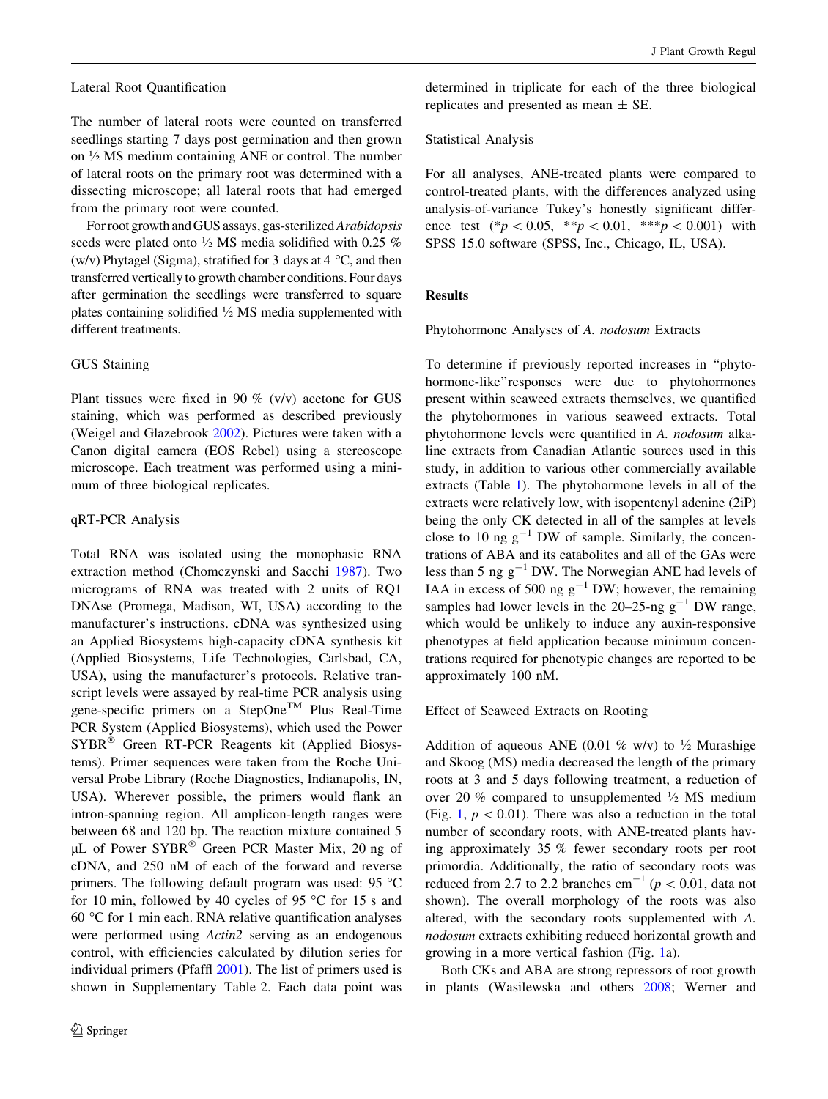## Lateral Root Quantification

The number of lateral roots were counted on transferred seedlings starting 7 days post germination and then grown on  $\frac{1}{2}$  MS medium containing ANE or control. The number of lateral roots on the primary root was determined with a dissecting microscope; all lateral roots that had emerged from the primary root were counted.

For root growth and GUS assays, gas-sterilized Arabidopsis seeds were plated onto  $\frac{1}{2}$  MS media solidified with 0.25 % (w/v) Phytagel (Sigma), stratified for 3 days at 4  $\degree$ C, and then transferred vertically to growth chamber conditions. Four days after germination the seedlings were transferred to square plates containing solidified  $\frac{1}{2}$  MS media supplemented with different treatments.

#### GUS Staining

Plant tissues were fixed in 90  $\%$  (v/v) acetone for GUS staining, which was performed as described previously (Weigel and Glazebrook [2002](#page-15-0)). Pictures were taken with a Canon digital camera (EOS Rebel) using a stereoscope microscope. Each treatment was performed using a minimum of three biological replicates.

#### qRT-PCR Analysis

Total RNA was isolated using the monophasic RNA extraction method (Chomczynski and Sacchi [1987\)](#page-14-0). Two micrograms of RNA was treated with 2 units of RQ1 DNAse (Promega, Madison, WI, USA) according to the manufacturer's instructions. cDNA was synthesized using an Applied Biosystems high-capacity cDNA synthesis kit (Applied Biosystems, Life Technologies, Carlsbad, CA, USA), using the manufacturer's protocols. Relative transcript levels were assayed by real-time PCR analysis using gene-specific primers on a StepOneTM Plus Real-Time PCR System (Applied Biosystems), which used the Power SYBR<sup>®</sup> Green RT-PCR Reagents kit (Applied Biosystems). Primer sequences were taken from the Roche Universal Probe Library (Roche Diagnostics, Indianapolis, IN, USA). Wherever possible, the primers would flank an intron-spanning region. All amplicon-length ranges were between 68 and 120 bp. The reaction mixture contained 5 µL of Power SYBR® Green PCR Master Mix, 20 ng of cDNA, and 250 nM of each of the forward and reverse primers. The following default program was used: 95  $\degree$ C for 10 min, followed by 40 cycles of 95  $\degree$ C for 15 s and 60 °C for 1 min each. RNA relative quantification analyses were performed using Actin2 serving as an endogenous control, with efficiencies calculated by dilution series for individual primers (Pfaffl [2001\)](#page-15-0). The list of primers used is shown in Supplementary Table 2. Each data point was determined in triplicate for each of the three biological replicates and presented as mean  $\pm$  SE.

#### Statistical Analysis

For all analyses, ANE-treated plants were compared to control-treated plants, with the differences analyzed using analysis-of-variance Tukey's honestly significant difference test  $(*p < 0.05, **p < 0.01, **p < 0.001)$  with SPSS 15.0 software (SPSS, Inc., Chicago, IL, USA).

## Results

Phytohormone Analyses of A. nodosum Extracts

To determine if previously reported increases in ''phytohormone-like''responses were due to phytohormones present within seaweed extracts themselves, we quantified the phytohormones in various seaweed extracts. Total phytohormone levels were quantified in A. nodosum alkaline extracts from Canadian Atlantic sources used in this study, in addition to various other commercially available extracts (Table [1\)](#page-4-0). The phytohormone levels in all of the extracts were relatively low, with isopentenyl adenine (2iP) being the only CK detected in all of the samples at levels close to 10 ng  $g^{-1}$  DW of sample. Similarly, the concentrations of ABA and its catabolites and all of the GAs were less than 5 ng  $g^{-1}$  DW. The Norwegian ANE had levels of IAA in excess of 500 ng  $g^{-1}$  DW; however, the remaining samples had lower levels in the  $20-25$ -ng  $g^{-1}$  DW range, which would be unlikely to induce any auxin-responsive phenotypes at field application because minimum concentrations required for phenotypic changes are reported to be approximately 100 nM.

## Effect of Seaweed Extracts on Rooting

Addition of aqueous ANE (0.01 % w/v) to  $\frac{1}{2}$  Murashige and Skoog (MS) media decreased the length of the primary roots at 3 and 5 days following treatment, a reduction of over 20 % compared to unsupplemented  $\frac{1}{2}$  MS medium (Fig. [1,](#page-5-0)  $p < 0.01$ ). There was also a reduction in the total number of secondary roots, with ANE-treated plants having approximately 35 % fewer secondary roots per root primordia. Additionally, the ratio of secondary roots was reduced from 2.7 to 2.2 branches  $cm^{-1}$  ( $p<0.01$ , data not shown). The overall morphology of the roots was also altered, with the secondary roots supplemented with A. nodosum extracts exhibiting reduced horizontal growth and growing in a more vertical fashion (Fig. [1](#page-5-0)a).

Both CKs and ABA are strong repressors of root growth in plants (Wasilewska and others [2008](#page-15-0); Werner and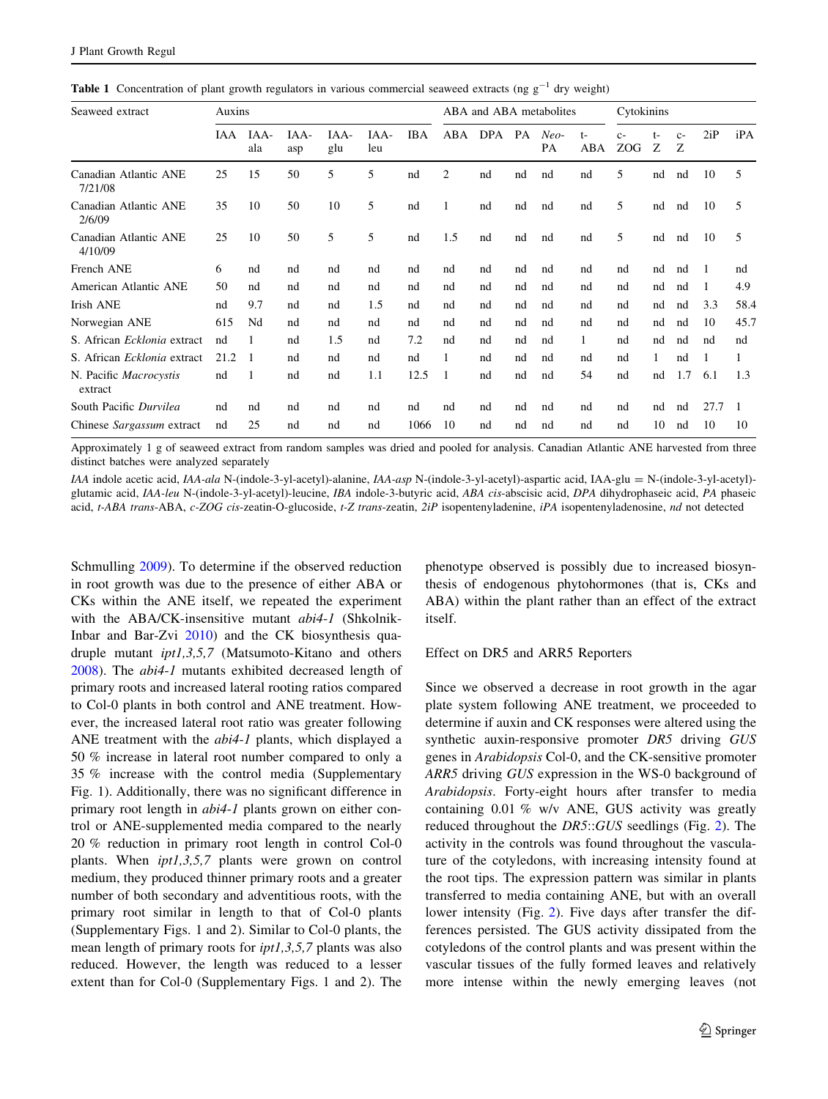<span id="page-4-0"></span>**Table 1** Concentration of plant growth regulators in various commercial seaweed extracts (ng  $g^{-1}$  dry weight)

| Seaweed extract                    | Auxins     |             |             |             |             |            | ABA and ABA metabolites |            |    |              |              | Cytokinins             |         |           |      |      |
|------------------------------------|------------|-------------|-------------|-------------|-------------|------------|-------------------------|------------|----|--------------|--------------|------------------------|---------|-----------|------|------|
|                                    | <b>JAA</b> | IAA-<br>ala | IAA-<br>asp | IAA-<br>glu | IAA-<br>leu | <b>IBA</b> | <b>ABA</b>              | <b>DPA</b> | PA | $Neo-$<br>PA | $t -$<br>ABA | $_{c}$ -<br><b>ZOG</b> | t-<br>Z | $C-$<br>Ζ | 2iP  | iPA  |
| Canadian Atlantic ANE<br>7/21/08   | 25         | 15          | 50          | 5           | 5           | nd         | $\overline{2}$          | nd         | nd | nd           | nd           | 5                      | nd      | nd        | 10   | 5    |
| Canadian Atlantic ANE<br>2/6/09    | 35         | 10          | 50          | 10          | 5           | nd         |                         | nd         | nd | nd           | nd           | 5                      | nd      | nd        | 10   | 5    |
| Canadian Atlantic ANE<br>4/10/09   | 25         | 10          | 50          | 5           | 5           | nd         | 1.5                     | nd         | nd | nd           | nd           | 5                      | nd      | nd        | 10   | 5    |
| French ANE                         | 6          | nd          | nd          | nd          | nd          | nd         | nd                      | nd         | nd | nd           | nd           | nd                     | nd      | nd        | -1   | nd   |
| American Atlantic ANE              | 50         | nd          | nd          | nd          | nd          | nd         | nd                      | nd         | nd | nd           | nd           | nd                     | nd      | nd        | -1   | 4.9  |
| Irish ANE                          | nd         | 9.7         | nd          | nd          | 1.5         | nd         | nd                      | nd         | nd | nd           | nd           | nd                     | nd      | nd        | 3.3  | 58.4 |
| Norwegian ANE                      | 615        | Nd          | nd          | nd          | nd          | nd         | nd                      | nd         | nd | nd           | nd           | nd                     | nd      | nd        | 10   | 45.7 |
| S. African <i>Ecklonia</i> extract | nd         |             | nd          | 1.5         | nd          | 7.2        | nd                      | nd         | nd | nd           | $\mathbf{1}$ | nd                     | nd      | nd        | nd   | nd   |
| S. African Ecklonia extract        | 21.2       |             | nd          | nd          | nd          | nd         |                         | nd         | nd | nd           | nd           | nd                     |         | nd        |      |      |
| N. Pacific Macrocystis<br>extract  | nd         |             | nd          | nd          | 1.1         | 12.5       |                         | nd         | nd | nd           | 54           | nd                     | nd      | 1.7       | 6.1  | 1.3  |
| South Pacific Durvilea             | nd         | nd          | nd          | nd          | nd          | nd         | nd                      | nd         | nd | nd           | nd           | nd                     | nd      | nd        | 27.7 |      |
| Chinese Sargassum extract          | nd         | 25          | nd          | nd          | nd          | 1066       | 10                      | nd         | nd | nd           | nd           | nd                     | 10      | nd        | 10   | 10   |

Approximately 1 g of seaweed extract from random samples was dried and pooled for analysis. Canadian Atlantic ANE harvested from three distinct batches were analyzed separately

IAA indole acetic acid, IAA-ala N-(indole-3-yl-acetyl)-alanine, IAA-asp N-(indole-3-yl-acetyl)-aspartic acid, IAA-glu = N-(indole-3-yl-acetyl) glutamic acid, IAA-leu N-(indole-3-yl-acetyl)-leucine, IBA indole-3-butyric acid, ABA cis-abscisic acid, DPA dihydrophaseic acid, PA phaseic acid, t-ABA trans-ABA, c-ZOG cis-zeatin-O-glucoside, t-Z trans-zeatin, 2iP isopentenyladenine, iPA isopentenyladenosine, nd not detected

Schmulling [2009](#page-15-0)). To determine if the observed reduction in root growth was due to the presence of either ABA or CKs within the ANE itself, we repeated the experiment with the ABA/CK-insensitive mutant *abi4-1* (Shkolnik-Inbar and Bar-Zvi [2010](#page-15-0)) and the CK biosynthesis quadruple mutant ipt1,3,5,7 (Matsumoto-Kitano and others [2008\)](#page-14-0). The abi4-1 mutants exhibited decreased length of primary roots and increased lateral rooting ratios compared to Col-0 plants in both control and ANE treatment. However, the increased lateral root ratio was greater following ANE treatment with the *abi4-1* plants, which displayed a 50 % increase in lateral root number compared to only a 35 % increase with the control media (Supplementary Fig. 1). Additionally, there was no significant difference in primary root length in abi4-1 plants grown on either control or ANE-supplemented media compared to the nearly 20 % reduction in primary root length in control Col-0 plants. When ipt1,3,5,7 plants were grown on control medium, they produced thinner primary roots and a greater number of both secondary and adventitious roots, with the primary root similar in length to that of Col-0 plants (Supplementary Figs. 1 and 2). Similar to Col-0 plants, the mean length of primary roots for  $ipt1,3,5,7$  plants was also reduced. However, the length was reduced to a lesser extent than for Col-0 (Supplementary Figs. 1 and 2). The phenotype observed is possibly due to increased biosynthesis of endogenous phytohormones (that is, CKs and ABA) within the plant rather than an effect of the extract itself.

Effect on DR5 and ARR5 Reporters

Since we observed a decrease in root growth in the agar plate system following ANE treatment, we proceeded to determine if auxin and CK responses were altered using the synthetic auxin-responsive promoter DR5 driving GUS genes in Arabidopsis Col-0, and the CK-sensitive promoter ARR5 driving GUS expression in the WS-0 background of Arabidopsis. Forty-eight hours after transfer to media containing 0.01 % w/v ANE, GUS activity was greatly reduced throughout the DR5::GUS seedlings (Fig. [2](#page-5-0)). The activity in the controls was found throughout the vasculature of the cotyledons, with increasing intensity found at the root tips. The expression pattern was similar in plants transferred to media containing ANE, but with an overall lower intensity (Fig. [2\)](#page-5-0). Five days after transfer the differences persisted. The GUS activity dissipated from the cotyledons of the control plants and was present within the vascular tissues of the fully formed leaves and relatively more intense within the newly emerging leaves (not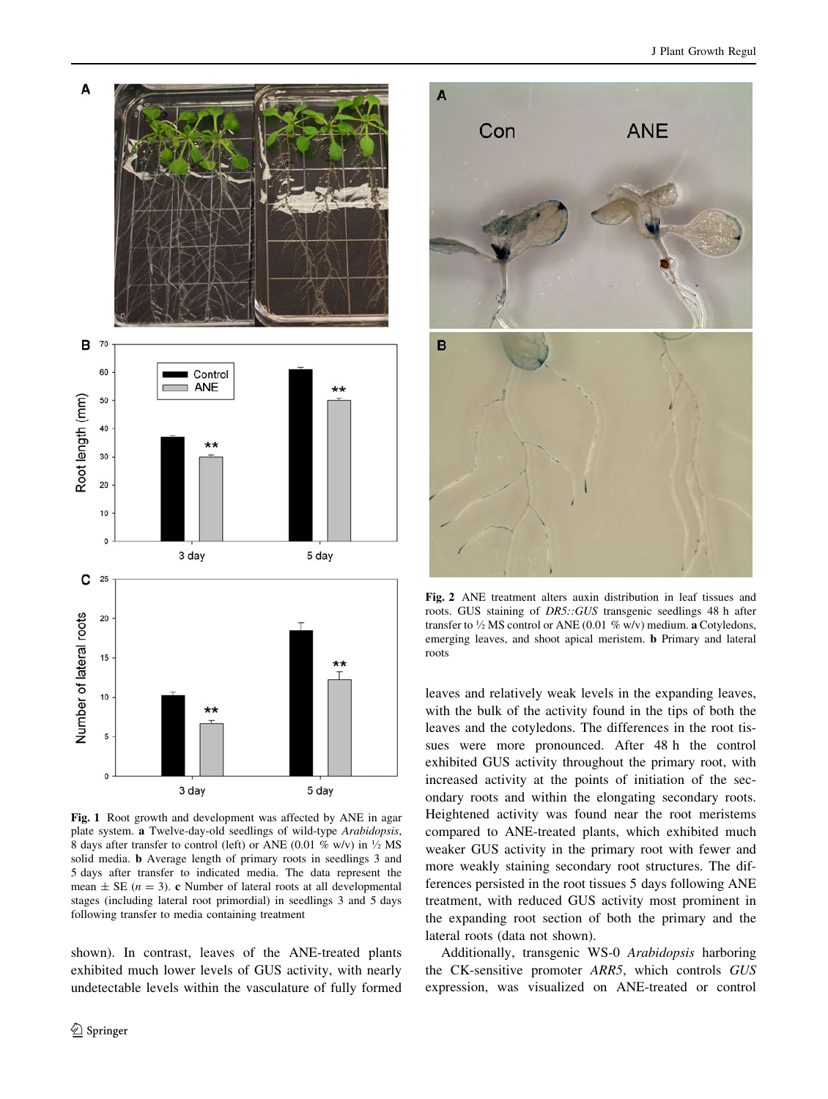<span id="page-5-0"></span>

Fig. 1 Root growth and development was affected by ANE in agar plate system. a Twelve-day-old seedlings of wild-type Arabidopsis, 8 days after transfer to control (left) or ANE (0.01 % w/v) in  $\frac{1}{2}$  MS solid media. b Average length of primary roots in seedlings 3 and 5 days after transfer to indicated media. The data represent the mean  $\pm$  SE ( $n = 3$ ). c Number of lateral roots at all developmental stages (including lateral root primordial) in seedlings 3 and 5 days following transfer to media containing treatment

shown). In contrast, leaves of the ANE-treated plants exhibited much lower levels of GUS activity, with nearly undetectable levels within the vasculature of fully formed



Fig. 2 ANE treatment alters auxin distribution in leaf tissues and roots. GUS staining of DR5::GUS transgenic seedlings 48 h after transfer to  $\frac{1}{2}$  MS control or ANE (0.01 % w/v) medium. a Cotyledons, emerging leaves, and shoot apical meristem. b Primary and lateral roots

leaves and relatively weak levels in the expanding leaves, with the bulk of the activity found in the tips of both the leaves and the cotyledons. The differences in the root tissues were more pronounced. After 48 h the control exhibited GUS activity throughout the primary root, with increased activity at the points of initiation of the secondary roots and within the elongating secondary roots. Heightened activity was found near the root meristems compared to ANE-treated plants, which exhibited much weaker GUS activity in the primary root with fewer and more weakly staining secondary root structures. The differences persisted in the root tissues 5 days following ANE treatment, with reduced GUS activity most prominent in the expanding root section of both the primary and the lateral roots (data not shown).

Additionally, transgenic WS-0 Arabidopsis harboring the CK-sensitive promoter ARR5, which controls GUS expression, was visualized on ANE-treated or control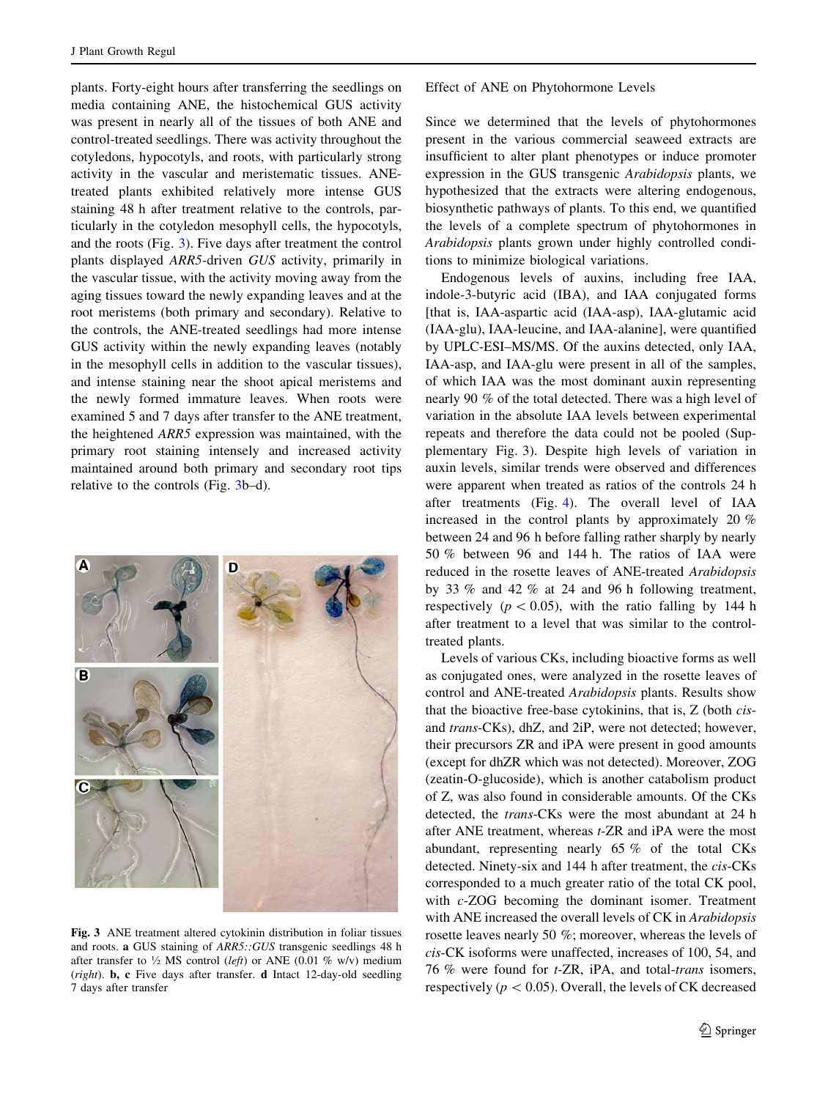<span id="page-6-0"></span>plants. Forty-eight hours after transferring the seedlings on media containing ANE, the histochemical GUS activity was present in nearly all of the tissues of both ANE and control-treated seedlings. There was activity throughout the cotyledons, hypocotyls, and roots, with particularly strong activity in the vascular and meristematic tissues. ANEtreated plants exhibited relatively more intense GUS staining 48 h after treatment relative to the controls, particularly in the cotyledon mesophyll cells, the hypocotyls, and the roots (Fig. 3). Five days after treatment the control plants displayed ARR5-driven GUS activity, primarily in the vascular tissue, with the activity moving away from the aging tissues toward the newly expanding leaves and at the root meristems (both primary and secondary). Relative to the controls, the ANE-treated seedlings had more intense GUS activity within the newly expanding leaves (notably in the mesophyll cells in addition to the vascular tissues), and intense staining near the shoot apical meristems and the newly formed immature leaves. When roots were examined 5 and 7 days after transfer to the ANE treatment, the heightened ARR5 expression was maintained, with the primary root staining intensely and increased activity maintained around both primary and secondary root tips relative to the controls (Fig. 3b–d).



Fig. 3 ANE treatment altered cytokinin distribution in foliar tissues and roots. a GUS staining of  $ARR5::GUS$  transgenic seedlings 48 h after transfer to  $\frac{1}{2}$  MS control (*left*) or ANE (0.01 % w/v) medium (*right*). **b**, c Five days after transfer. **d** Intact 12-day-old seedling 7 days after transfer

Effect of ANE on Phytohormone Levels

Since we determined that the levels of phytohormones present in the various commercial seaweed extracts are insufficient to alter plant phenotypes or induce promoter expression in the GUS transgenic Arabidopsis plants, we hypothesized that the extracts were altering endogenous, biosynthetic pathways of plants. To this end, we quantified the levels of a complete spectrum of phytohormones in Arabidopsis plants grown under highly controlled conditions to minimize biological variations.

Endogenous levels of auxins, including free IAA, indole-3-butyric acid (IBA), and IAA conjugated forms [that is, IAA-aspartic acid (IAA-asp), IAA-glutamic acid (IAA-glu), IAA-leucine, and IAA-alanine], were quantified by UPLC-ESI–MS/MS. Of the auxins detected, only IAA, IAA-asp, and IAA-glu were present in all of the samples, of which IAA was the most dominant auxin representing nearly 90 % of the total detected. There was a high level of variation in the absolute IAA levels between experimental repeats and therefore the data could not be pooled (Supplementary Fig. 3). Despite high levels of variation in auxin levels, similar trends were observed and differences were apparent when treated as ratios of the controls 24 h after treatments (Fig. [4\)](#page-7-0). The overall level of IAA increased in the control plants by approximately 20 % between 24 and 96 h before falling rather sharply by nearly 50 % between 96 and 144 h. The ratios of IAA were reduced in the rosette leaves of ANE-treated Arabidopsis by 33 % and 42 % at 24 and 96 h following treatment, respectively ( $p < 0.05$ ), with the ratio falling by 144 h after treatment to a level that was similar to the controltreated plants.

Levels of various CKs, including bioactive forms as well as conjugated ones, were analyzed in the rosette leaves of control and ANE-treated Arabidopsis plants. Results show that the bioactive free-base cytokinins, that is, Z (both cisand trans-CKs), dhZ, and 2iP, were not detected; however, their precursors ZR and iPA were present in good amounts (except for dhZR which was not detected). Moreover, ZOG (zeatin-O-glucoside), which is another catabolism product of Z, was also found in considerable amounts. Of the CKs detected, the trans-CKs were the most abundant at 24 h after ANE treatment, whereas t-ZR and iPA were the most abundant, representing nearly 65 % of the total CKs detected. Ninety-six and 144 h after treatment, the cis-CKs corresponded to a much greater ratio of the total CK pool, with c-ZOG becoming the dominant isomer. Treatment with ANE increased the overall levels of CK in Arabidopsis rosette leaves nearly 50 %; moreover, whereas the levels of cis-CK isoforms were unaffected, increases of 100, 54, and 76 % were found for t-ZR, iPA, and total-trans isomers, respectively ( $p\lt 0.05$ ). Overall, the levels of CK decreased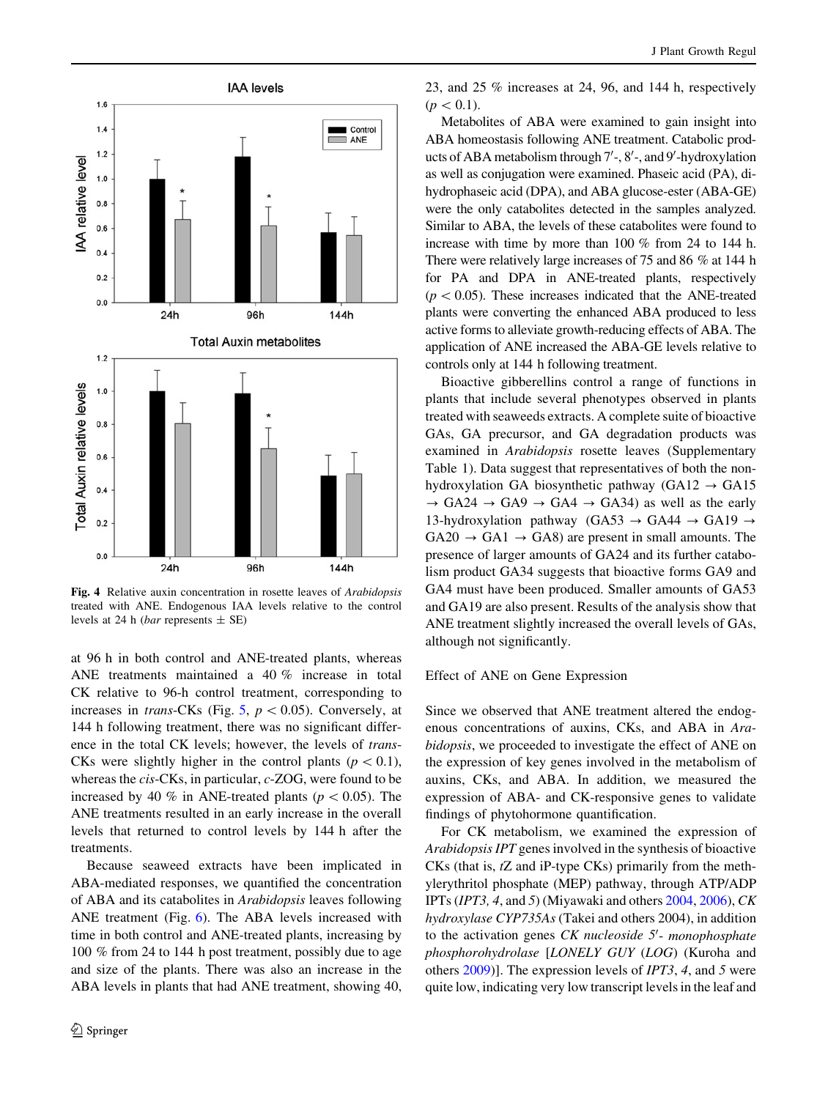<span id="page-7-0"></span>

Fig. 4 Relative auxin concentration in rosette leaves of Arabidopsis treated with ANE. Endogenous IAA levels relative to the control levels at 24 h (*bar* represents  $\pm$  SE)

at 96 h in both control and ANE-treated plants, whereas ANE treatments maintained a 40 % increase in total CK relative to 96-h control treatment, corresponding to increases in *trans-CKs* (Fig. [5](#page-8-0),  $p < 0.05$ ). Conversely, at 144 h following treatment, there was no significant difference in the total CK levels; however, the levels of trans-CKs were slightly higher in the control plants ( $p\lt0.1$ ), whereas the cis-CKs, in particular, c-ZOG, were found to be increased by 40 % in ANE-treated plants ( $p < 0.05$ ). The ANE treatments resulted in an early increase in the overall levels that returned to control levels by 144 h after the treatments.

Because seaweed extracts have been implicated in ABA-mediated responses, we quantified the concentration of ABA and its catabolites in Arabidopsis leaves following ANE treatment (Fig. [6\)](#page-9-0). The ABA levels increased with time in both control and ANE-treated plants, increasing by 100 % from 24 to 144 h post treatment, possibly due to age and size of the plants. There was also an increase in the ABA levels in plants that had ANE treatment, showing 40, 23, and 25 % increases at 24, 96, and 144 h, respectively  $(p<0.1)$ .

Metabolites of ABA were examined to gain insight into ABA homeostasis following ANE treatment. Catabolic products of ABA metabolism through 7'-, 8'-, and 9'-hydroxylation as well as conjugation were examined. Phaseic acid (PA), dihydrophaseic acid (DPA), and ABA glucose-ester (ABA-GE) were the only catabolites detected in the samples analyzed. Similar to ABA, the levels of these catabolites were found to increase with time by more than 100 % from 24 to 144 h. There were relatively large increases of 75 and 86 % at 144 h for PA and DPA in ANE-treated plants, respectively  $(p<0.05)$ . These increases indicated that the ANE-treated plants were converting the enhanced ABA produced to less active forms to alleviate growth-reducing effects of ABA. The application of ANE increased the ABA-GE levels relative to controls only at 144 h following treatment.

Bioactive gibberellins control a range of functions in plants that include several phenotypes observed in plants treated with seaweeds extracts. A complete suite of bioactive GAs, GA precursor, and GA degradation products was examined in Arabidopsis rosette leaves (Supplementary Table 1). Data suggest that representatives of both the nonhydroxylation GA biosynthetic pathway (GA12  $\rightarrow$  GA15  $\rightarrow$  GA24  $\rightarrow$  GA9  $\rightarrow$  GA4  $\rightarrow$  GA34) as well as the early 13-hydroxylation pathway (GA53  $\rightarrow$  GA44  $\rightarrow$  GA19  $\rightarrow$  $GA20 \rightarrow GA1 \rightarrow Ga8$ ) are present in small amounts. The presence of larger amounts of GA24 and its further catabolism product GA34 suggests that bioactive forms GA9 and GA4 must have been produced. Smaller amounts of GA53 and GA19 are also present. Results of the analysis show that ANE treatment slightly increased the overall levels of GAs, although not significantly.

#### Effect of ANE on Gene Expression

Since we observed that ANE treatment altered the endogenous concentrations of auxins, CKs, and ABA in Arabidopsis, we proceeded to investigate the effect of ANE on the expression of key genes involved in the metabolism of auxins, CKs, and ABA. In addition, we measured the expression of ABA- and CK-responsive genes to validate findings of phytohormone quantification.

For CK metabolism, we examined the expression of Arabidopsis IPT genes involved in the synthesis of bioactive CKs (that is, tZ and iP-type CKs) primarily from the methylerythritol phosphate (MEP) pathway, through ATP/ADP IPTs (IPT3, 4, and 5) (Miyawaki and others  $2004$ ,  $2006$ ), CK hydroxylase CYP735As (Takei and others 2004), in addition to the activation genes  $CK$  nucleoside  $5'$ - monophosphate phosphorohydrolase [LONELY GUY (LOG) (Kuroha and others [2009](#page-14-0))]. The expression levels of IPT3, 4, and 5 were quite low, indicating very low transcript levels in the leaf and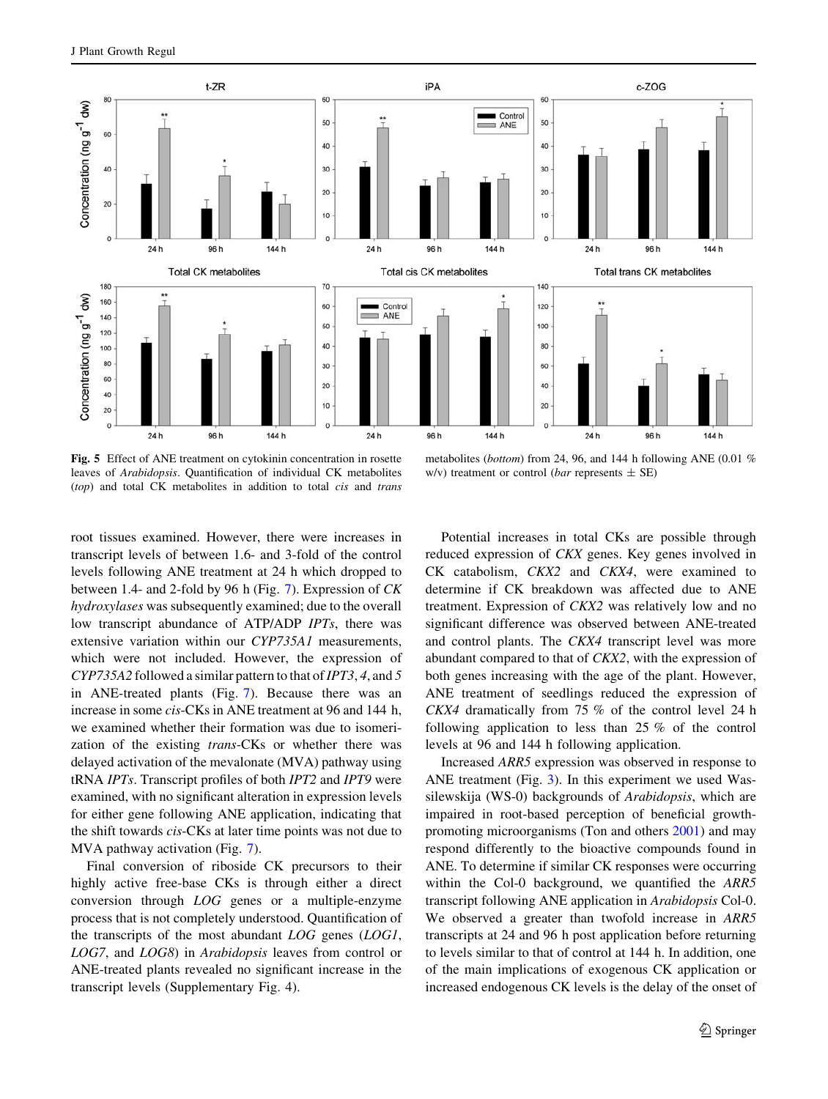<span id="page-8-0"></span>

Fig. 5 Effect of ANE treatment on cytokinin concentration in rosette leaves of Arabidopsis. Quantification of individual CK metabolites (top) and total CK metabolites in addition to total cis and trans

metabolites (bottom) from 24, 96, and 144 h following ANE (0.01 %  $w/v$ ) treatment or control (*bar* represents  $\pm$  SE)

root tissues examined. However, there were increases in transcript levels of between 1.6- and 3-fold of the control levels following ANE treatment at 24 h which dropped to between 1.4- and 2-fold by 96 h (Fig. [7\)](#page-10-0). Expression of CK hydroxylases was subsequently examined; due to the overall low transcript abundance of ATP/ADP IPTs, there was extensive variation within our CYP735A1 measurements, which were not included. However, the expression of  $CYP735A2$  followed a similar pattern to that of IPT3, 4, and 5 in ANE-treated plants (Fig. [7](#page-10-0)). Because there was an increase in some cis-CKs in ANE treatment at 96 and 144 h, we examined whether their formation was due to isomerization of the existing trans-CKs or whether there was delayed activation of the mevalonate (MVA) pathway using tRNA IPTs. Transcript profiles of both IPT2 and IPT9 were examined, with no significant alteration in expression levels for either gene following ANE application, indicating that the shift towards cis-CKs at later time points was not due to MVA pathway activation (Fig. [7\)](#page-10-0).

Final conversion of riboside CK precursors to their highly active free-base CKs is through either a direct conversion through LOG genes or a multiple-enzyme process that is not completely understood. Quantification of the transcripts of the most abundant LOG genes (LOG1, LOG7, and LOG8) in Arabidopsis leaves from control or ANE-treated plants revealed no significant increase in the transcript levels (Supplementary Fig. 4).

Potential increases in total CKs are possible through reduced expression of CKX genes. Key genes involved in CK catabolism, CKX2 and CKX4, were examined to determine if CK breakdown was affected due to ANE treatment. Expression of CKX2 was relatively low and no significant difference was observed between ANE-treated and control plants. The CKX4 transcript level was more abundant compared to that of CKX2, with the expression of both genes increasing with the age of the plant. However, ANE treatment of seedlings reduced the expression of CKX4 dramatically from 75 % of the control level 24 h following application to less than 25 % of the control levels at 96 and 144 h following application.

Increased ARR5 expression was observed in response to ANE treatment (Fig. [3\)](#page-6-0). In this experiment we used Wassilewskija (WS-0) backgrounds of *Arabidopsis*, which are impaired in root-based perception of beneficial growthpromoting microorganisms (Ton and others [2001\)](#page-15-0) and may respond differently to the bioactive compounds found in ANE. To determine if similar CK responses were occurring within the Col-0 background, we quantified the ARR5 transcript following ANE application in Arabidopsis Col-0. We observed a greater than twofold increase in ARR5 transcripts at 24 and 96 h post application before returning to levels similar to that of control at 144 h. In addition, one of the main implications of exogenous CK application or increased endogenous CK levels is the delay of the onset of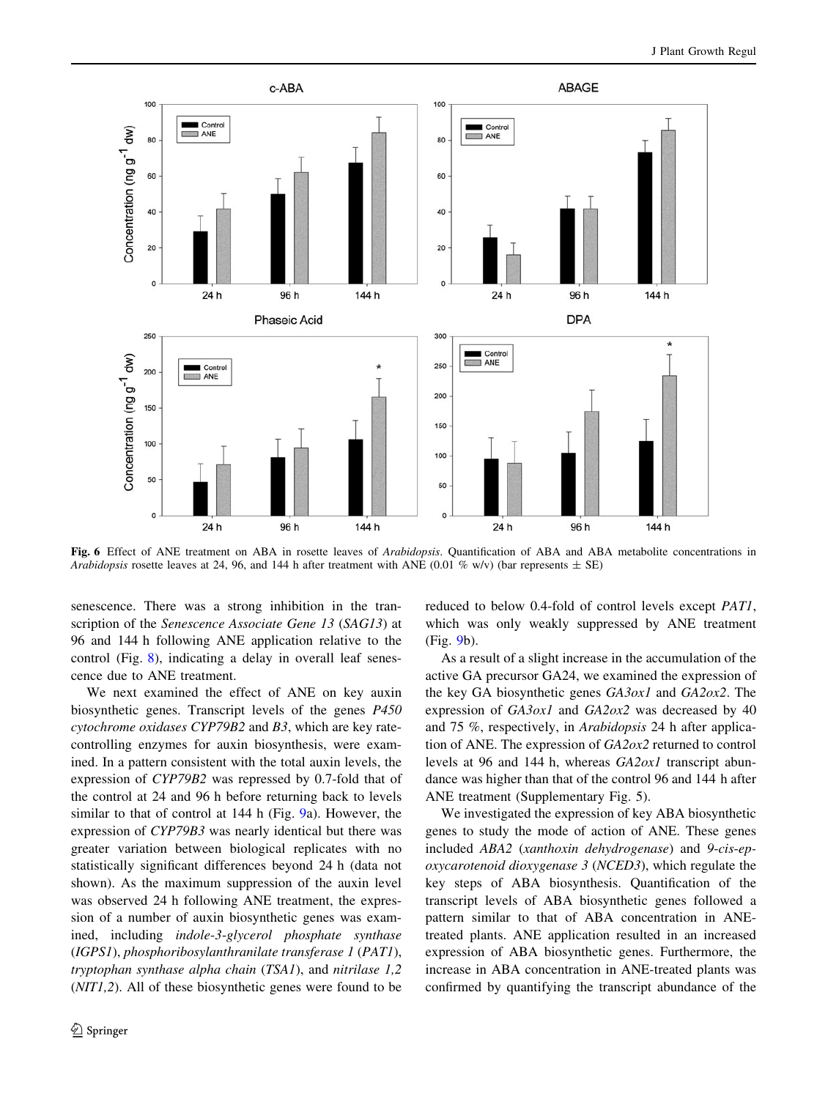<span id="page-9-0"></span>

Fig. 6 Effect of ANE treatment on ABA in rosette leaves of Arabidopsis. Quantification of ABA and ABA metabolite concentrations in Arabidopsis rosette leaves at 24, 96, and 144 h after treatment with ANE (0.01 % w/v) (bar represents  $\pm$  SE)

senescence. There was a strong inhibition in the transcription of the Senescence Associate Gene 13 (SAG13) at 96 and 144 h following ANE application relative to the control (Fig. [8](#page-10-0)), indicating a delay in overall leaf senescence due to ANE treatment.

We next examined the effect of ANE on key auxin biosynthetic genes. Transcript levels of the genes P450 cytochrome oxidases CYP79B2 and B3, which are key ratecontrolling enzymes for auxin biosynthesis, were examined. In a pattern consistent with the total auxin levels, the expression of CYP79B2 was repressed by 0.7-fold that of the control at 24 and 96 h before returning back to levels similar to that of control at 144 h (Fig. [9a](#page-11-0)). However, the expression of CYP79B3 was nearly identical but there was greater variation between biological replicates with no statistically significant differences beyond 24 h (data not shown). As the maximum suppression of the auxin level was observed 24 h following ANE treatment, the expression of a number of auxin biosynthetic genes was examined, including indole-3-glycerol phosphate synthase (IGPS1), phosphoribosylanthranilate transferase 1 (PAT1), tryptophan synthase alpha chain (TSA1), and nitrilase 1,2 (NIT1,2). All of these biosynthetic genes were found to be reduced to below 0.4-fold of control levels except PAT1, which was only weakly suppressed by ANE treatment (Fig. [9b](#page-11-0)).

As a result of a slight increase in the accumulation of the active GA precursor GA24, we examined the expression of the key GA biosynthetic genes GA3ox1 and GA2ox2. The expression of GA3ox1 and GA2ox2 was decreased by 40 and 75 %, respectively, in Arabidopsis 24 h after application of ANE. The expression of GA2ox2 returned to control levels at 96 and 144 h, whereas GA2ox1 transcript abundance was higher than that of the control 96 and 144 h after ANE treatment (Supplementary Fig. 5).

We investigated the expression of key ABA biosynthetic genes to study the mode of action of ANE. These genes included ABA2 (xanthoxin dehydrogenase) and 9-cis-epoxycarotenoid dioxygenase 3 (NCED3), which regulate the key steps of ABA biosynthesis. Quantification of the transcript levels of ABA biosynthetic genes followed a pattern similar to that of ABA concentration in ANEtreated plants. ANE application resulted in an increased expression of ABA biosynthetic genes. Furthermore, the increase in ABA concentration in ANE-treated plants was confirmed by quantifying the transcript abundance of the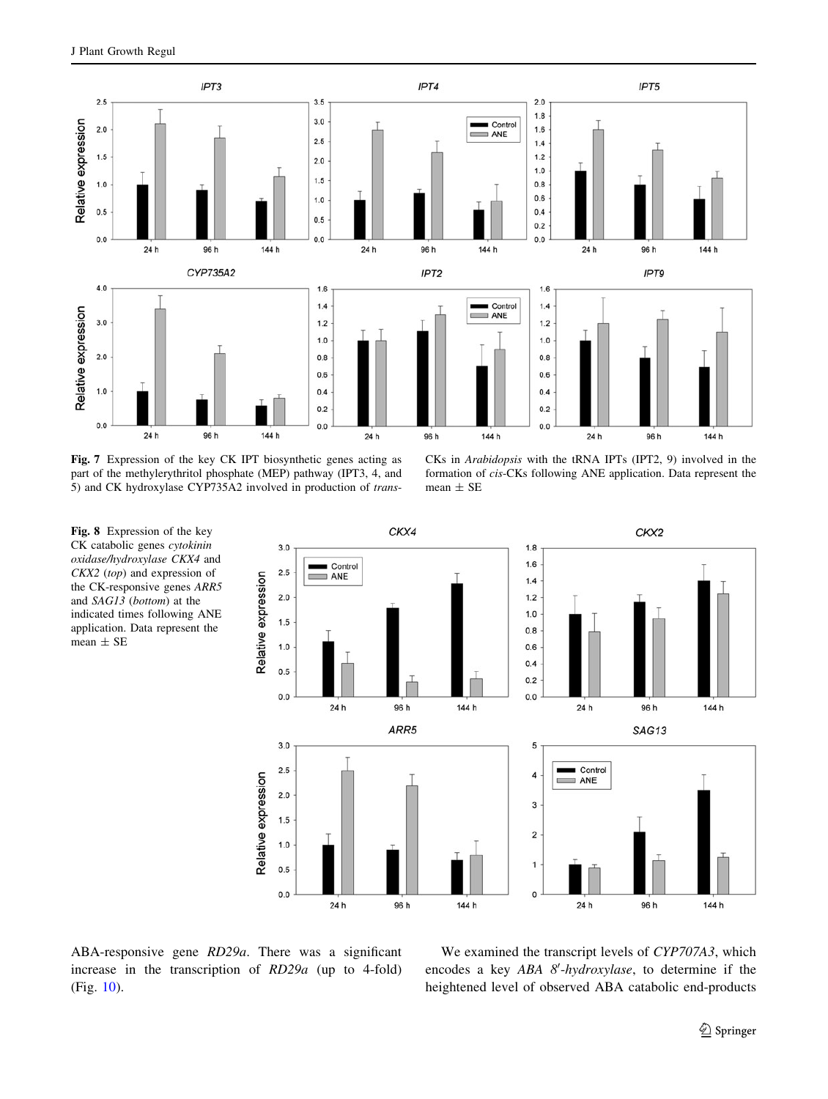<span id="page-10-0"></span>

Fig. 7 Expression of the key CK IPT biosynthetic genes acting as part of the methylerythritol phosphate (MEP) pathway (IPT3, 4, and 5) and CK hydroxylase CYP735A2 involved in production of trans-

CKs in Arabidopsis with the tRNA IPTs (IPT2, 9) involved in the formation of cis-CKs following ANE application. Data represent the mean  $\pm$  SE

Fig. 8 Expression of the key CK catabolic genes cytokinin oxidase/hydroxylase CKX4 and CKX2 (top) and expression of the CK-responsive genes ARR5 and SAG13 (bottom) at the indicated times following ANE application. Data represent the mean  $\pm$  SE



ABA-responsive gene RD29a. There was a significant increase in the transcription of  $RD29a$  (up to 4-fold) (Fig. [10](#page-12-0)).

We examined the transcript levels of CYP707A3, which encodes a key ABA 8'-hydroxylase, to determine if the heightened level of observed ABA catabolic end-products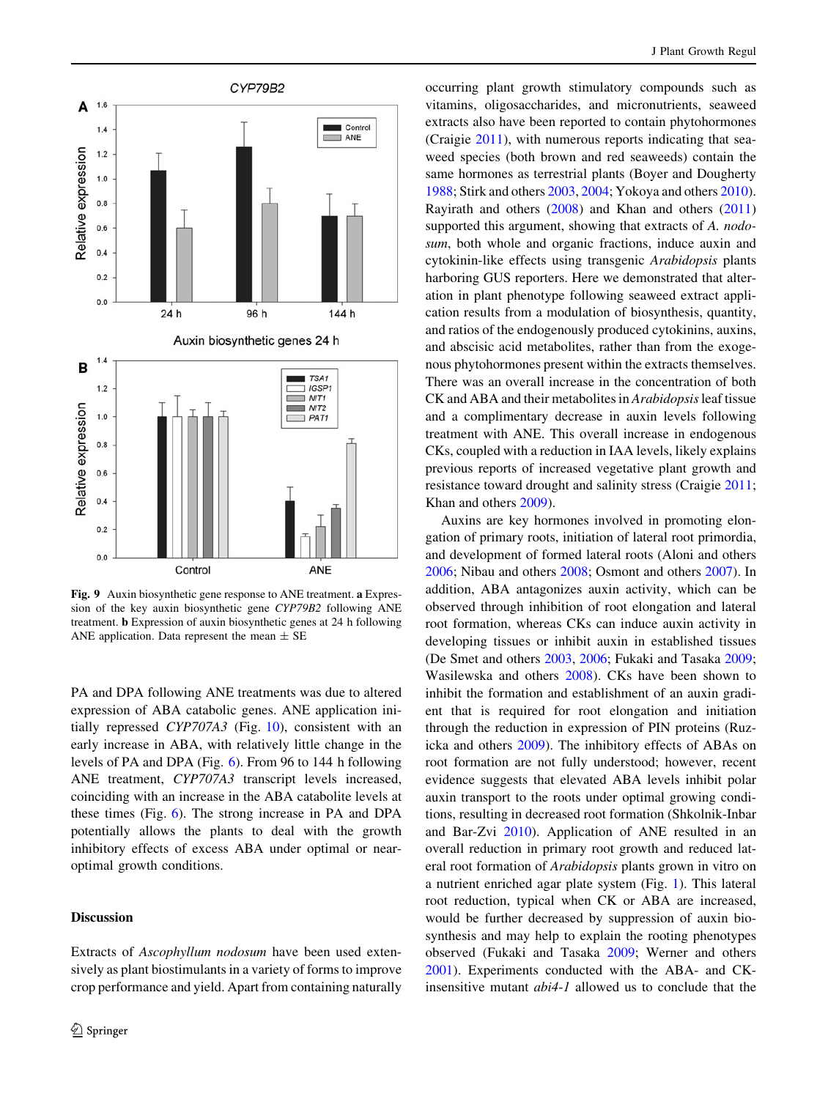<span id="page-11-0"></span>

Fig. 9 Auxin biosynthetic gene response to ANE treatment. a Expression of the key auxin biosynthetic gene CYP79B2 following ANE treatment. b Expression of auxin biosynthetic genes at 24 h following ANE application. Data represent the mean  $\pm$  SE

PA and DPA following ANE treatments was due to altered expression of ABA catabolic genes. ANE application initially repressed CYP707A3 (Fig. [10](#page-12-0)), consistent with an early increase in ABA, with relatively little change in the levels of PA and DPA (Fig. [6](#page-9-0)). From 96 to 144 h following ANE treatment, CYP707A3 transcript levels increased, coinciding with an increase in the ABA catabolite levels at these times (Fig. [6](#page-9-0)). The strong increase in PA and DPA potentially allows the plants to deal with the growth inhibitory effects of excess ABA under optimal or nearoptimal growth conditions.

## Discussion

Extracts of Ascophyllum nodosum have been used extensively as plant biostimulants in a variety of forms to improve crop performance and yield. Apart from containing naturally occurring plant growth stimulatory compounds such as vitamins, oligosaccharides, and micronutrients, seaweed extracts also have been reported to contain phytohormones (Craigie [2011](#page-14-0)), with numerous reports indicating that seaweed species (both brown and red seaweeds) contain the same hormones as terrestrial plants (Boyer and Dougherty [1988](#page-14-0); Stirk and others [2003](#page-15-0), [2004](#page-15-0); Yokoya and others [2010](#page-15-0)). Rayirath and others ([2008\)](#page-15-0) and Khan and others ([2011\)](#page-14-0) supported this argument, showing that extracts of A. nodosum, both whole and organic fractions, induce auxin and cytokinin-like effects using transgenic Arabidopsis plants harboring GUS reporters. Here we demonstrated that alteration in plant phenotype following seaweed extract application results from a modulation of biosynthesis, quantity, and ratios of the endogenously produced cytokinins, auxins, and abscisic acid metabolites, rather than from the exogenous phytohormones present within the extracts themselves. There was an overall increase in the concentration of both CK and ABA and their metabolites in *Arabidopsis* leaf tissue and a complimentary decrease in auxin levels following treatment with ANE. This overall increase in endogenous CKs, coupled with a reduction in IAA levels, likely explains previous reports of increased vegetative plant growth and resistance toward drought and salinity stress (Craigie [2011](#page-14-0); Khan and others [2009](#page-14-0)).

Auxins are key hormones involved in promoting elongation of primary roots, initiation of lateral root primordia, and development of formed lateral roots (Aloni and others [2006](#page-13-0); Nibau and others [2008](#page-14-0); Osmont and others [2007](#page-15-0)). In addition, ABA antagonizes auxin activity, which can be observed through inhibition of root elongation and lateral root formation, whereas CKs can induce auxin activity in developing tissues or inhibit auxin in established tissues (De Smet and others [2003,](#page-14-0) [2006;](#page-14-0) Fukaki and Tasaka [2009](#page-14-0); Wasilewska and others [2008\)](#page-15-0). CKs have been shown to inhibit the formation and establishment of an auxin gradient that is required for root elongation and initiation through the reduction in expression of PIN proteins (Ruzicka and others [2009](#page-15-0)). The inhibitory effects of ABAs on root formation are not fully understood; however, recent evidence suggests that elevated ABA levels inhibit polar auxin transport to the roots under optimal growing conditions, resulting in decreased root formation (Shkolnik-Inbar and Bar-Zvi [2010\)](#page-15-0). Application of ANE resulted in an overall reduction in primary root growth and reduced lateral root formation of Arabidopsis plants grown in vitro on a nutrient enriched agar plate system (Fig. [1\)](#page-5-0). This lateral root reduction, typical when CK or ABA are increased, would be further decreased by suppression of auxin biosynthesis and may help to explain the rooting phenotypes observed (Fukaki and Tasaka [2009;](#page-14-0) Werner and others [2001](#page-15-0)). Experiments conducted with the ABA- and CKinsensitive mutant abi4-1 allowed us to conclude that the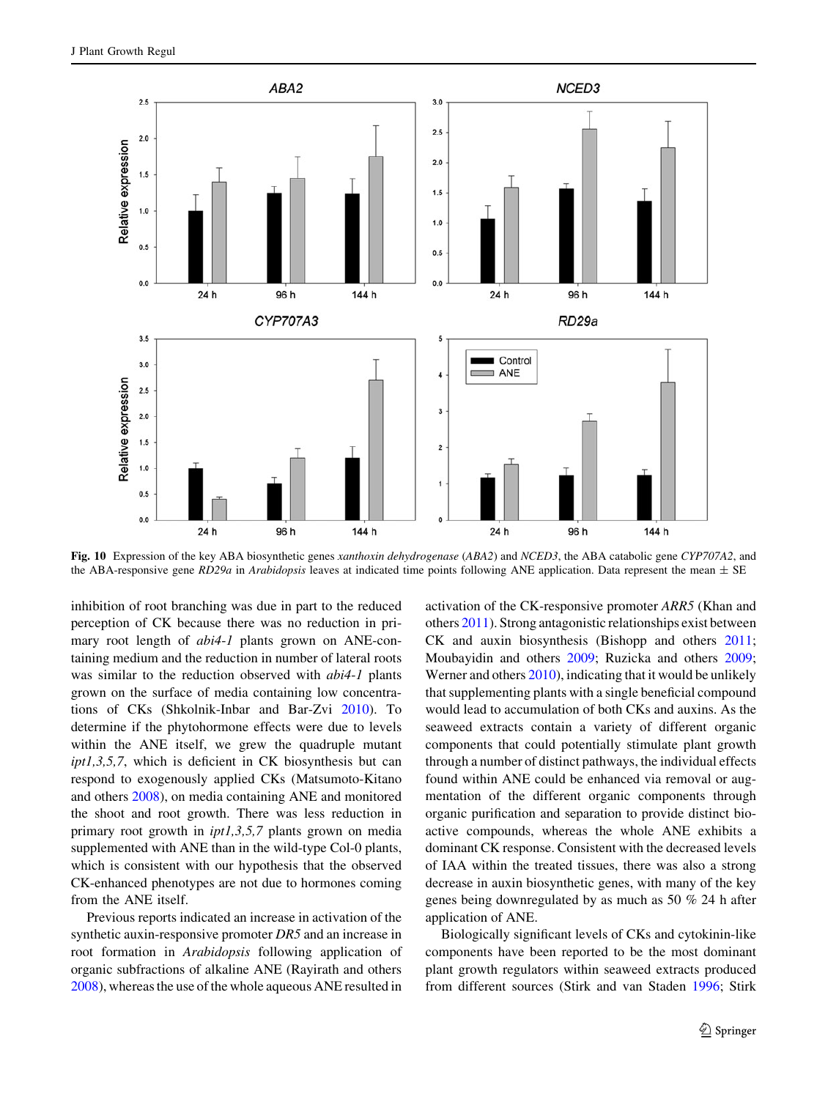<span id="page-12-0"></span>

Fig. 10 Expression of the key ABA biosynthetic genes xanthoxin dehydrogenase (ABA2) and NCED3, the ABA catabolic gene CYP707A2, and the ABA-responsive gene RD29a in Arabidopsis leaves at indicated time points following ANE application. Data represent the mean  $\pm$  SE

inhibition of root branching was due in part to the reduced perception of CK because there was no reduction in primary root length of *abi4-1* plants grown on ANE-containing medium and the reduction in number of lateral roots was similar to the reduction observed with abi4-1 plants grown on the surface of media containing low concentrations of CKs (Shkolnik-Inbar and Bar-Zvi [2010\)](#page-15-0). To determine if the phytohormone effects were due to levels within the ANE itself, we grew the quadruple mutant ipt1,3,5,7, which is deficient in CK biosynthesis but can respond to exogenously applied CKs (Matsumoto-Kitano and others [2008\)](#page-14-0), on media containing ANE and monitored the shoot and root growth. There was less reduction in primary root growth in ipt1,3,5,7 plants grown on media supplemented with ANE than in the wild-type Col-0 plants, which is consistent with our hypothesis that the observed CK-enhanced phenotypes are not due to hormones coming from the ANE itself.

Previous reports indicated an increase in activation of the synthetic auxin-responsive promoter DR5 and an increase in root formation in Arabidopsis following application of organic subfractions of alkaline ANE (Rayirath and others [2008\)](#page-15-0), whereas the use of the whole aqueous ANE resulted in activation of the CK-responsive promoter ARR5 (Khan and others [2011](#page-14-0)). Strong antagonistic relationships exist between CK and auxin biosynthesis (Bishopp and others [2011](#page-14-0); Moubayidin and others [2009](#page-14-0); Ruzicka and others [2009](#page-15-0); Werner and others [2010](#page-15-0)), indicating that it would be unlikely that supplementing plants with a single beneficial compound would lead to accumulation of both CKs and auxins. As the seaweed extracts contain a variety of different organic components that could potentially stimulate plant growth through a number of distinct pathways, the individual effects found within ANE could be enhanced via removal or augmentation of the different organic components through organic purification and separation to provide distinct bioactive compounds, whereas the whole ANE exhibits a dominant CK response. Consistent with the decreased levels of IAA within the treated tissues, there was also a strong decrease in auxin biosynthetic genes, with many of the key genes being downregulated by as much as 50 % 24 h after application of ANE.

Biologically significant levels of CKs and cytokinin-like components have been reported to be the most dominant plant growth regulators within seaweed extracts produced from different sources (Stirk and van Staden [1996;](#page-15-0) Stirk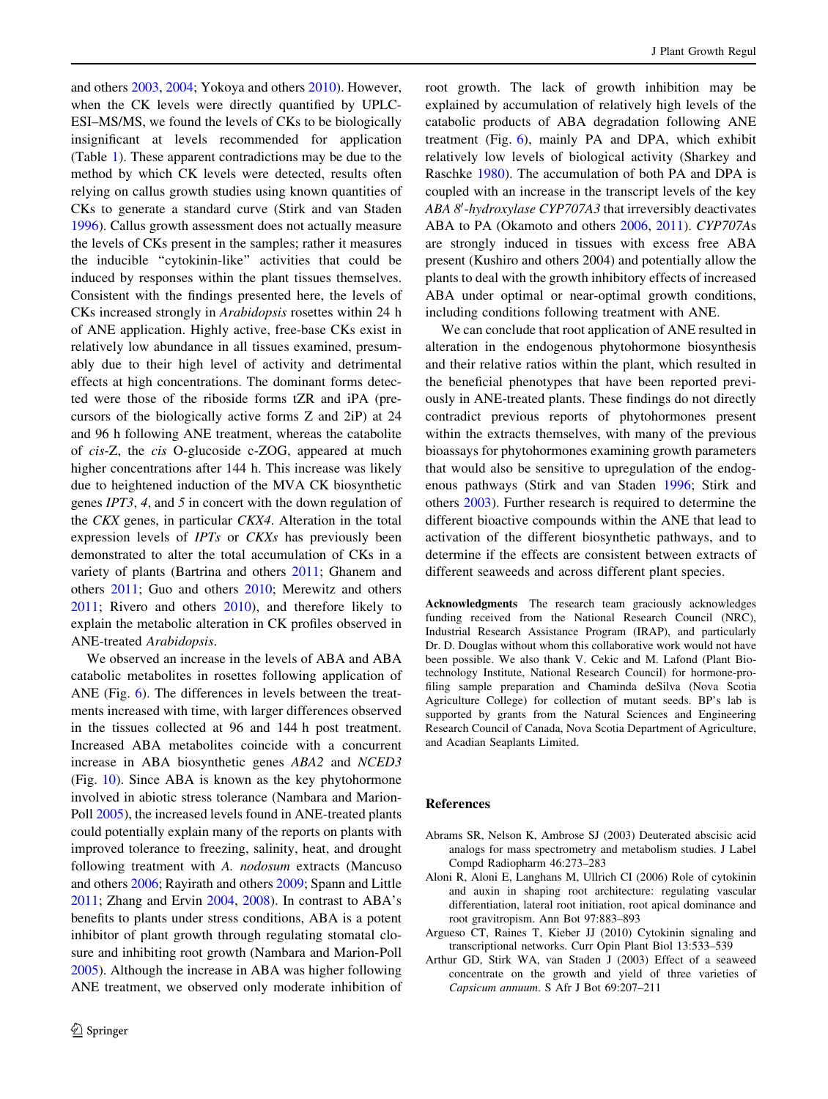<span id="page-13-0"></span>and others [2003,](#page-15-0) [2004](#page-15-0); Yokoya and others [2010\)](#page-15-0). However, when the CK levels were directly quantified by UPLC-ESI–MS/MS, we found the levels of CKs to be biologically insignificant at levels recommended for application (Table [1](#page-4-0)). These apparent contradictions may be due to the method by which CK levels were detected, results often relying on callus growth studies using known quantities of CKs to generate a standard curve (Stirk and van Staden [1996\)](#page-15-0). Callus growth assessment does not actually measure the levels of CKs present in the samples; rather it measures the inducible ''cytokinin-like'' activities that could be induced by responses within the plant tissues themselves. Consistent with the findings presented here, the levels of CKs increased strongly in Arabidopsis rosettes within 24 h of ANE application. Highly active, free-base CKs exist in relatively low abundance in all tissues examined, presumably due to their high level of activity and detrimental effects at high concentrations. The dominant forms detected were those of the riboside forms tZR and iPA (precursors of the biologically active forms Z and 2iP) at 24 and 96 h following ANE treatment, whereas the catabolite of cis-Z, the cis O-glucoside c-ZOG, appeared at much higher concentrations after 144 h. This increase was likely due to heightened induction of the MVA CK biosynthetic genes IPT3, 4, and 5 in concert with the down regulation of the CKX genes, in particular CKX4. Alteration in the total expression levels of IPTs or CKXs has previously been demonstrated to alter the total accumulation of CKs in a variety of plants (Bartrina and others [2011](#page-14-0); Ghanem and others [2011;](#page-14-0) Guo and others [2010;](#page-14-0) Merewitz and others [2011;](#page-14-0) Rivero and others [2010\)](#page-15-0), and therefore likely to explain the metabolic alteration in CK profiles observed in ANE-treated Arabidopsis.

We observed an increase in the levels of ABA and ABA catabolic metabolites in rosettes following application of ANE (Fig. [6](#page-9-0)). The differences in levels between the treatments increased with time, with larger differences observed in the tissues collected at 96 and 144 h post treatment. Increased ABA metabolites coincide with a concurrent increase in ABA biosynthetic genes ABA2 and NCED3 (Fig. [10](#page-12-0)). Since ABA is known as the key phytohormone involved in abiotic stress tolerance (Nambara and Marion-Poll [2005](#page-14-0)), the increased levels found in ANE-treated plants could potentially explain many of the reports on plants with improved tolerance to freezing, salinity, heat, and drought following treatment with A. nodosum extracts (Mancuso and others [2006](#page-14-0); Rayirath and others [2009;](#page-15-0) Spann and Little [2011;](#page-15-0) Zhang and Ervin [2004,](#page-15-0) [2008\)](#page-15-0). In contrast to ABA's benefits to plants under stress conditions, ABA is a potent inhibitor of plant growth through regulating stomatal closure and inhibiting root growth (Nambara and Marion-Poll [2005\)](#page-14-0). Although the increase in ABA was higher following ANE treatment, we observed only moderate inhibition of

root growth. The lack of growth inhibition may be explained by accumulation of relatively high levels of the catabolic products of ABA degradation following ANE treatment (Fig. [6\)](#page-9-0), mainly PA and DPA, which exhibit relatively low levels of biological activity (Sharkey and Raschke [1980](#page-15-0)). The accumulation of both PA and DPA is coupled with an increase in the transcript levels of the key ABA 8'-hydroxylase CYP707A3 that irreversibly deactivates ABA to PA (Okamoto and others [2006](#page-14-0), [2011\)](#page-15-0). CYP707As are strongly induced in tissues with excess free ABA present (Kushiro and others 2004) and potentially allow the plants to deal with the growth inhibitory effects of increased ABA under optimal or near-optimal growth conditions, including conditions following treatment with ANE.

We can conclude that root application of ANE resulted in alteration in the endogenous phytohormone biosynthesis and their relative ratios within the plant, which resulted in the beneficial phenotypes that have been reported previously in ANE-treated plants. These findings do not directly contradict previous reports of phytohormones present within the extracts themselves, with many of the previous bioassays for phytohormones examining growth parameters that would also be sensitive to upregulation of the endogenous pathways (Stirk and van Staden [1996](#page-15-0); Stirk and others [2003\)](#page-15-0). Further research is required to determine the different bioactive compounds within the ANE that lead to activation of the different biosynthetic pathways, and to determine if the effects are consistent between extracts of different seaweeds and across different plant species.

Acknowledgments The research team graciously acknowledges funding received from the National Research Council (NRC), Industrial Research Assistance Program (IRAP), and particularly Dr. D. Douglas without whom this collaborative work would not have been possible. We also thank V. Cekic and M. Lafond (Plant Biotechnology Institute, National Research Council) for hormone-profiling sample preparation and Chaminda deSilva (Nova Scotia Agriculture College) for collection of mutant seeds. BP's lab is supported by grants from the Natural Sciences and Engineering Research Council of Canada, Nova Scotia Department of Agriculture, and Acadian Seaplants Limited.

#### References

- Abrams SR, Nelson K, Ambrose SJ (2003) Deuterated abscisic acid analogs for mass spectrometry and metabolism studies. J Label Compd Radiopharm 46:273–283
- Aloni R, Aloni E, Langhans M, Ullrich CI (2006) Role of cytokinin and auxin in shaping root architecture: regulating vascular differentiation, lateral root initiation, root apical dominance and root gravitropism. Ann Bot 97:883–893
- Argueso CT, Raines T, Kieber JJ (2010) Cytokinin signaling and transcriptional networks. Curr Opin Plant Biol 13:533–539
- Arthur GD, Stirk WA, van Staden J (2003) Effect of a seaweed concentrate on the growth and yield of three varieties of Capsicum annuum. S Afr J Bot 69:207–211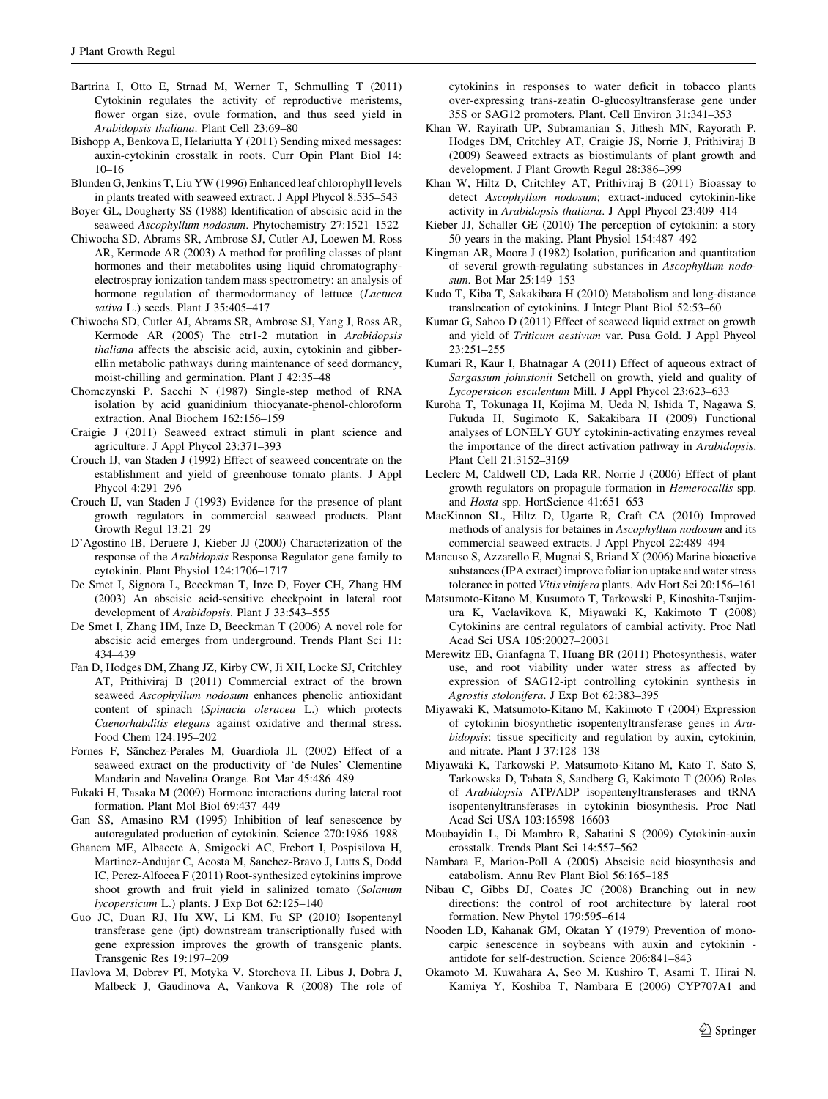- <span id="page-14-0"></span>Bartrina I, Otto E, Strnad M, Werner T, Schmulling T (2011) Cytokinin regulates the activity of reproductive meristems, flower organ size, ovule formation, and thus seed yield in Arabidopsis thaliana. Plant Cell 23:69–80
- Bishopp A, Benkova E, Helariutta Y (2011) Sending mixed messages: auxin-cytokinin crosstalk in roots. Curr Opin Plant Biol 14: 10–16
- Blunden G, Jenkins T, Liu YW (1996) Enhanced leaf chlorophyll levels in plants treated with seaweed extract. J Appl Phycol 8:535–543
- Boyer GL, Dougherty SS (1988) Identification of abscisic acid in the seaweed Ascophyllum nodosum. Phytochemistry 27:1521–1522
- Chiwocha SD, Abrams SR, Ambrose SJ, Cutler AJ, Loewen M, Ross AR, Kermode AR (2003) A method for profiling classes of plant hormones and their metabolites using liquid chromatographyelectrospray ionization tandem mass spectrometry: an analysis of hormone regulation of thermodormancy of lettuce (Lactuca sativa L.) seeds. Plant J 35:405–417
- Chiwocha SD, Cutler AJ, Abrams SR, Ambrose SJ, Yang J, Ross AR, Kermode AR (2005) The etr1-2 mutation in Arabidopsis thaliana affects the abscisic acid, auxin, cytokinin and gibberellin metabolic pathways during maintenance of seed dormancy, moist-chilling and germination. Plant J 42:35–48
- Chomczynski P, Sacchi N (1987) Single-step method of RNA isolation by acid guanidinium thiocyanate-phenol-chloroform extraction. Anal Biochem 162:156–159
- Craigie J (2011) Seaweed extract stimuli in plant science and agriculture. J Appl Phycol 23:371–393
- Crouch IJ, van Staden J (1992) Effect of seaweed concentrate on the establishment and yield of greenhouse tomato plants. J Appl Phycol 4:291–296
- Crouch IJ, van Staden J (1993) Evidence for the presence of plant growth regulators in commercial seaweed products. Plant Growth Regul 13:21–29
- D'Agostino IB, Deruere J, Kieber JJ (2000) Characterization of the response of the Arabidopsis Response Regulator gene family to cytokinin. Plant Physiol 124:1706–1717
- De Smet I, Signora L, Beeckman T, Inze D, Foyer CH, Zhang HM (2003) An abscisic acid-sensitive checkpoint in lateral root development of Arabidopsis. Plant J 33:543–555
- De Smet I, Zhang HM, Inze D, Beeckman T (2006) A novel role for abscisic acid emerges from underground. Trends Plant Sci 11: 434–439
- Fan D, Hodges DM, Zhang JZ, Kirby CW, Ji XH, Locke SJ, Critchley AT, Prithiviraj B (2011) Commercial extract of the brown seaweed Ascophyllum nodosum enhances phenolic antioxidant content of spinach (Spinacia oleracea L.) which protects Caenorhabditis elegans against oxidative and thermal stress. Food Chem 124:195–202
- Fornes F, Sãnchez-Perales M, Guardiola JL (2002) Effect of a seaweed extract on the productivity of 'de Nules' Clementine Mandarin and Navelina Orange. Bot Mar 45:486–489
- Fukaki H, Tasaka M (2009) Hormone interactions during lateral root formation. Plant Mol Biol 69:437–449
- Gan SS, Amasino RM (1995) Inhibition of leaf senescence by autoregulated production of cytokinin. Science 270:1986–1988
- Ghanem ME, Albacete A, Smigocki AC, Frebort I, Pospisilova H, Martinez-Andujar C, Acosta M, Sanchez-Bravo J, Lutts S, Dodd IC, Perez-Alfocea F (2011) Root-synthesized cytokinins improve shoot growth and fruit yield in salinized tomato (Solanum lycopersicum L.) plants. J Exp Bot 62:125–140
- Guo JC, Duan RJ, Hu XW, Li KM, Fu SP (2010) Isopentenyl transferase gene (ipt) downstream transcriptionally fused with gene expression improves the growth of transgenic plants. Transgenic Res 19:197–209
- Havlova M, Dobrev PI, Motyka V, Storchova H, Libus J, Dobra J, Malbeck J, Gaudinova A, Vankova R (2008) The role of

cytokinins in responses to water deficit in tobacco plants over-expressing trans-zeatin O-glucosyltransferase gene under 35S or SAG12 promoters. Plant, Cell Environ 31:341–353

- Khan W, Rayirath UP, Subramanian S, Jithesh MN, Rayorath P, Hodges DM, Critchley AT, Craigie JS, Norrie J, Prithiviraj B (2009) Seaweed extracts as biostimulants of plant growth and development. J Plant Growth Regul 28:386–399
- Khan W, Hiltz D, Critchley AT, Prithiviraj B (2011) Bioassay to detect Ascophyllum nodosum; extract-induced cytokinin-like activity in Arabidopsis thaliana. J Appl Phycol 23:409–414
- Kieber JJ, Schaller GE (2010) The perception of cytokinin: a story 50 years in the making. Plant Physiol 154:487–492
- Kingman AR, Moore J (1982) Isolation, purification and quantitation of several growth-regulating substances in Ascophyllum nodosum. Bot Mar 25:149–153
- Kudo T, Kiba T, Sakakibara H (2010) Metabolism and long-distance translocation of cytokinins. J Integr Plant Biol 52:53–60
- Kumar G, Sahoo D (2011) Effect of seaweed liquid extract on growth and yield of Triticum aestivum var. Pusa Gold. J Appl Phycol 23:251–255
- Kumari R, Kaur I, Bhatnagar A (2011) Effect of aqueous extract of Sargassum johnstonii Setchell on growth, yield and quality of Lycopersicon esculentum Mill. J Appl Phycol 23:623–633
- Kuroha T, Tokunaga H, Kojima M, Ueda N, Ishida T, Nagawa S, Fukuda H, Sugimoto K, Sakakibara H (2009) Functional analyses of LONELY GUY cytokinin-activating enzymes reveal the importance of the direct activation pathway in Arabidopsis. Plant Cell 21:3152–3169
- Leclerc M, Caldwell CD, Lada RR, Norrie J (2006) Effect of plant growth regulators on propagule formation in Hemerocallis spp. and Hosta spp. HortScience 41:651–653
- MacKinnon SL, Hiltz D, Ugarte R, Craft CA (2010) Improved methods of analysis for betaines in Ascophyllum nodosum and its commercial seaweed extracts. J Appl Phycol 22:489–494
- Mancuso S, Azzarello E, Mugnai S, Briand X (2006) Marine bioactive substances (IPA extract) improve foliar ion uptake and water stress tolerance in potted Vitis vinifera plants. Adv Hort Sci 20:156–161
- Matsumoto-Kitano M, Kusumoto T, Tarkowski P, Kinoshita-Tsujimura K, Vaclavikova K, Miyawaki K, Kakimoto T (2008) Cytokinins are central regulators of cambial activity. Proc Natl Acad Sci USA 105:20027–20031
- Merewitz EB, Gianfagna T, Huang BR (2011) Photosynthesis, water use, and root viability under water stress as affected by expression of SAG12-ipt controlling cytokinin synthesis in Agrostis stolonifera. J Exp Bot 62:383–395
- Miyawaki K, Matsumoto-Kitano M, Kakimoto T (2004) Expression of cytokinin biosynthetic isopentenyltransferase genes in Arabidopsis: tissue specificity and regulation by auxin, cytokinin, and nitrate. Plant J 37:128–138
- Miyawaki K, Tarkowski P, Matsumoto-Kitano M, Kato T, Sato S, Tarkowska D, Tabata S, Sandberg G, Kakimoto T (2006) Roles of Arabidopsis ATP/ADP isopentenyltransferases and tRNA isopentenyltransferases in cytokinin biosynthesis. Proc Natl Acad Sci USA 103:16598–16603
- Moubayidin L, Di Mambro R, Sabatini S (2009) Cytokinin-auxin crosstalk. Trends Plant Sci 14:557–562
- Nambara E, Marion-Poll A (2005) Abscisic acid biosynthesis and catabolism. Annu Rev Plant Biol 56:165–185
- Nibau C, Gibbs DJ, Coates JC (2008) Branching out in new directions: the control of root architecture by lateral root formation. New Phytol 179:595–614
- Nooden LD, Kahanak GM, Okatan Y (1979) Prevention of monocarpic senescence in soybeans with auxin and cytokinin antidote for self-destruction. Science 206:841–843
- Okamoto M, Kuwahara A, Seo M, Kushiro T, Asami T, Hirai N, Kamiya Y, Koshiba T, Nambara E (2006) CYP707A1 and